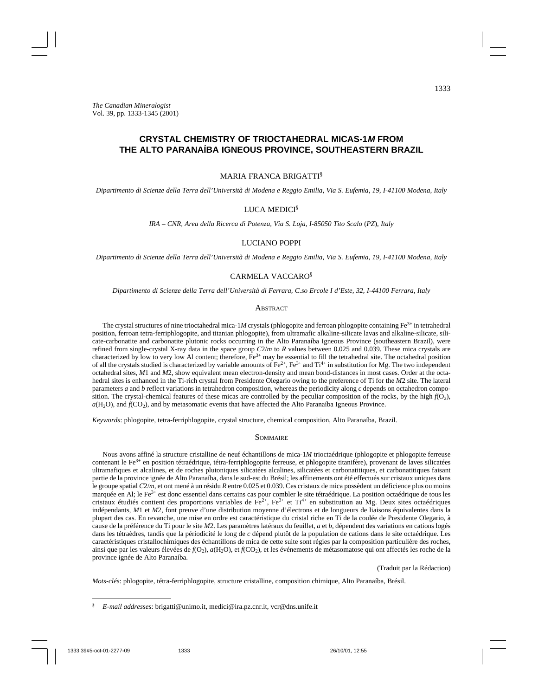# **CRYSTAL CHEMISTRY OF TRIOCTAHEDRAL MICAS-1M FROM THE ALTO PARANAÍBA IGNEOUS PROVINCE, SOUTHEASTERN BRAZIL**

#### MARIA FRANCA BRIGATTI§

*Dipartimento di Scienze della Terra dell'Università di Modena e Reggio Emilia, Via S. Eufemia, 19, I-41100 Modena, Italy*

## LUCA MEDICI§

*IRA – CNR, Area della Ricerca di Potenza, Via S. Loja, I-85050 Tito Scalo* (*PZ*), *Italy*

## LUCIANO POPPI

*Dipartimento di Scienze della Terra dell'Università di Modena e Reggio Emilia, Via S. Eufemia, 19, I-41100 Modena, Italy*

#### CARMELA VACCARO§

*Dipartimento di Scienze della Terra dell'Università di Ferrara, C.so Ercole I d'Este, 32, I-44100 Ferrara, Italy*

## **ABSTRACT**

The crystal structures of nine trioctahedral mica-1*M* crystals (phlogopite and ferroan phlogopite containing  $Fe<sup>3+</sup>$  in tetrahedral position, ferroan tetra-ferriphlogopite, and titanian phlogopite), from ultramafic alkaline-silicate lavas and alkaline-silicate, silicate-carbonatite and carbonatite plutonic rocks occurring in the Alto Paranaíba Igneous Province (southeastern Brazil), were refined from single-crystal X-ray data in the space group *C*2/*m* to *R* values between 0.025 and 0.039. These mica crystals are characterized by low to very low Al content; therefore, Fe3+ may be essential to fill the tetrahedral site. The octahedral position of all the crystals studied is characterized by variable amounts of  $Fe^{2+}$ ,  $Fe^{3+}$  and  $Ti^{4+}$  in substitution for Mg. The two independent octahedral sites, *M*1 and *M*2, show equivalent mean electron-density and mean bond-distances in most cases. Order at the octahedral sites is enhanced in the Ti-rich crystal from Presidente Olegario owing to the preference of Ti for the *M*2 site. The lateral parameters *a* and *b* reflect variations in tetrahedron composition, whereas the periodicity along *c* depends on octahedron composition. The crystal-chemical features of these micas are controlled by the peculiar composition of the rocks, by the high  $f(0<sub>2</sub>)$ , *a*(H<sub>2</sub>O), and  $f(CO_2)$ , and by metasomatic events that have affected the Alto Paranaíba Igneous Province.

*Keywords*: phlogopite, tetra-ferriphlogopite, crystal structure, chemical composition, Alto Paranaíba, Brazil.

#### **SOMMAIRE**

Nous avons affiné la structure cristalline de neuf échantillons de mica-1*M* trioctaédrique (phlogopite et phlogopite ferreuse contenant le Fe<sup>3+</sup> en position tétraédrique, tétra-ferriphlogopite ferreuse, et phlogopite titanifère), provenant de laves silicatées ultramafiques et alcalines, et de roches plutoniques silicatées alcalines, silicatées et carbonatitiques, et carbonatitiques faisant partie de la province ignée de Alto Paranaíba, dans le sud-est du Brésil; les affinements ont été effectués sur cristaux uniques dans le groupe spatial *C*2/*m*, et ont mené à un résidu *R* entre 0.025 et 0.039. Ces cristaux de mica possèdent un déficience plus ou moins marquée en Al; le Fe<sup>3+</sup> est donc essentiel dans certains cas pour combler le site tétraédrique. La position octaédrique de tous les cristaux étudiés contient des proportions variables de Fe<sup>2+</sup>, Fe<sup>3+</sup> et Ti<sup>4+</sup> en substitution au Mg. Deux sites octaédriques indépendants, *M*1 et *M*2, font preuve d'une distribution moyenne d'électrons et de longueurs de liaisons équivalentes dans la plupart des cas. En revanche, une mise en ordre est caractéristique du cristal riche en Ti de la coulée de Presidente Olegario, à cause de la préférence du Ti pour le site *M*2. Les paramètres latéraux du feuillet, *a* et *b*, dépendent des variations en cations logés dans les tétraèdres, tandis que la périodicité le long de *c* dépend plutôt de la population de cations dans le site octaédrique. Les caractéristiques cristallochimiques des échantillons de mica de cette suite sont régies par la composition particulière des roches, ainsi que par les valeurs élevées de  $f(O_2)$ ,  $a(H_2O)$ , et  $f(CO_2)$ , et les événements de métasomatose qui ont affectés les roche de la province ignée de Alto Paranaíba.

(Traduit par la Rédaction)

*Mots-clés*: phlogopite, tétra-ferriphlogopite, structure cristalline, composition chimique, Alto Paranaíba, Brésil.

<sup>§</sup> *E-mail addresses*: brigatti@unimo.it, medici@ira.pz.cnr.it, vcr@dns.unife.it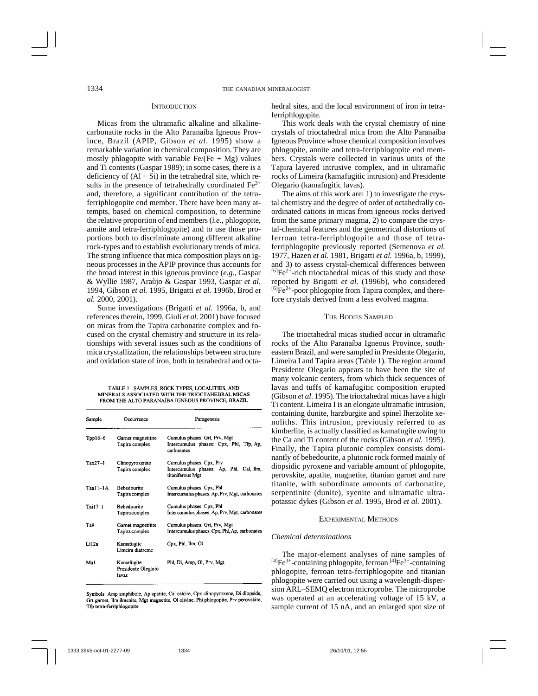#### **INTRODUCTION**

Micas from the ultramafic alkaline and alkalinecarbonatite rocks in the Alto Paranaíba Igneous Province, Brazil (APIP, Gibson *et al*. 1995) show a remarkable variation in chemical composition. They are mostly phlogopite with variable  $Fe/(Fe + Mg)$  values and Ti contents (Gaspar 1989); in some cases, there is a deficiency of  $(Al + Si)$  in the tetrahedral site, which results in the presence of tetrahedrally coordinated  $Fe<sup>3+</sup>$ and, therefore, a significant contribution of the tetraferriphlogopite end member. There have been many attempts, based on chemical composition, to determine the relative proportion of end members (*i.e.,* phlogopite, annite and tetra-ferriphlogopite) and to use those proportions both to discriminate among different alkaline rock-types and to establish evolutionary trends of mica. The strong influence that mica composition plays on igneous processes in the APIP province thus accounts for the broad interest in this igneous province (*e.g.,* Gaspar & Wyllie 1987, Araùjo & Gaspar 1993, Gaspar *et al.* 1994, Gibson *et al.* 1995, Brigatti *et al.* 1996b, Brod *et al.* 2000, 2001).

Some investigations (Brigatti *et al.* 1996a, b, and references therein, 1999, Giuli *et al.* 2001) have focused on micas from the Tapira carbonatite complex and focused on the crystal chemistry and structure in its relationships with several issues such as the conditions of mica crystallization, the relationships between structure and oxidation state of iron, both in tetrahedral and octa-

TABLE 1. SAMPLES, ROCK TYPES, LOCALITIES, AND MINERALS ASSOCIATED WITH THE TRIOCTAHEDRAL MICAS FROM THE ALTO PARANAÍBA IGNEOUS PROVINCE, BRAZIL

| Sample     | Occurrence                                 | Paragenesis                                                                             |
|------------|--------------------------------------------|-----------------------------------------------------------------------------------------|
| $Tpp16-6$  | Garnet magnetitite<br>Tapira complex       | Cumulus phases: Grt, Prv, Mgt<br>Intercumulus phases: Cpx, Phl, Tfp, Ap,<br>carbonates  |
| $Tax27-1$  | Clinopyroxenite<br>Tapira complex          | Cumulus phases: Cpx, Prv<br>Intercumulus phases: Ap, Phl, Cal, Ilm,<br>titaniferous Mgt |
| $Taal1-1A$ | Bebedourite<br>Tapira complex              | Cumulus phases: Cpx, Phl.<br>Intercumulus phases: Ap, Prv, Mgt, carbonates              |
| $Tail7-1$  | <b>Bebedourite</b><br>Tapira complex       | Cumulus phases: Cpx, Phl<br>Intercumulus phases: Ap, Prv, Mgt, carbonates               |
| Ta9        | Garnet magnetitite<br>Tapira complex       | Cumulus phases: Grt, Prv, Mgt<br>Intercumulus phases: Cpx, Phl, Ap, carbonates          |
| Li12a      | Kamafugite<br>Limeira diatreme             | Cpx, Phl, Ilm, Ol                                                                       |
| Ma1        | Kamafugite<br>Presidente Olegario<br>lavas | Phl, Di, Amp, Ol, Prv, Mgt                                                              |

Symbols: Amp amphibole, Ap apatite, Cal calcite, Cpx clinopyroxene, Di diopside, Grt garnet, Ilm ilmenite, Mgt magnetite, Ol olivine, Phi phlogopite, Prv perovskite, Tfp tetra-ferriphlogopite.

hedral sites, and the local environment of iron in tetraferriphlogopite.

This work deals with the crystal chemistry of nine crystals of trioctahedral mica from the Alto Paranaíba Igneous Province whose chemical composition involves phlogopite, annite and tetra-ferriphlogopite end members. Crystals were collected in various units of the Tapira layered intrusive complex, and in ultramafic rocks of Limeira (kamafugitic intrusion) and Presidente Olegario (kamafugitic lavas).

The aims of this work are: 1) to investigate the crystal chemistry and the degree of order of octahedrally coordinated cations in micas from igneous rocks derived from the same primary magma, 2) to compare the crystal-chemical features and the geometrical distortions of ferroan tetra-ferriphlogopite and those of tetraferriphlogopite previously reported (Semenova *et al.* 1977, Hazen *et al.* 1981, Brigatti *et al.* 1996a, b, 1999), and 3) to assess crystal-chemical differences between  $^{[6]}Fe^{2+}$ -rich trioctahedral micas of this study and those reported by Brigatti *et al.* (1996b), who considered  $[6]Fe<sup>2+</sup>$ -poor phlogopite from Tapira complex, and therefore crystals derived from a less evolved magma.

## THE BODIES SAMPLED

The trioctahedral micas studied occur in ultramafic rocks of the Alto Paranaíba Igneous Province, southeastern Brazil, and were sampled in Presidente Olegario, Limeira I and Tapira areas (Table 1). The region around Presidente Olegario appears to have been the site of many volcanic centers, from which thick sequences of lavas and tuffs of kamafugitic composition erupted (Gibson *et al*. 1995). The trioctahedral micas have a high Ti content. Limeira I is an elongate ultramafic intrusion, containing dunite, harzburgite and spinel lherzolite xenoliths. This intrusion, previously referred to as kimberlite, is actually classified as kamafugite owing to the Ca and Ti content of the rocks (Gibson *et al.* 1995). Finally, the Tapira plutonic complex consists dominantly of bebedourite, a plutonic rock formed mainly of diopsidic pyroxene and variable amount of phlogopite, perovskite, apatite, magnetite, titanian garnet and rare titanite, with subordinate amounts of carbonatite, serpentinite (dunite), syenite and ultramafic ultrapotassic dykes (Gibson *et al.* 1995, Brod *et al.* 2001).

#### EXPERIMENTAL METHODS

#### *Chemical determinations*

The major-element analyses of nine samples of  $[4]Fe^{3+}$ -containing phlogopite, ferroan  $[4]Fe^{3+}$ -containing phlogopite, ferroan tetra-ferriphlogopite and titanian phlogopite were carried out using a wavelength-dispersion ARL–SEMQ electron microprobe. The microprobe was operated at an accelerating voltage of 15 kV, a sample current of 15 nA, and an enlarged spot size of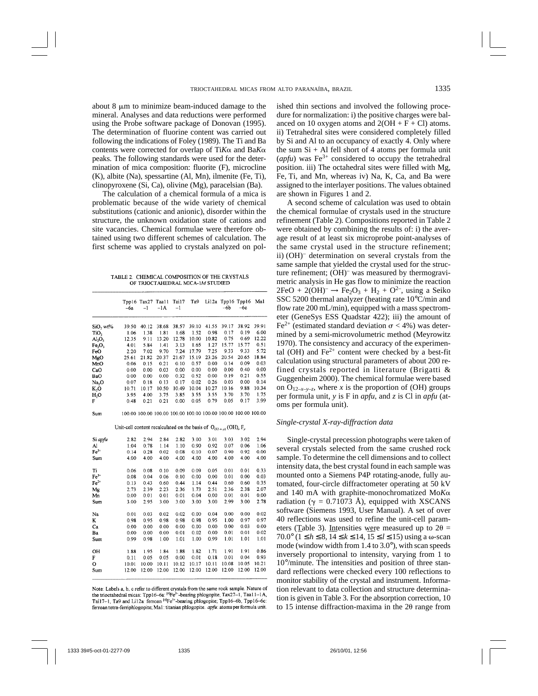about 8  $\mu$ m to minimize beam-induced damage to the mineral. Analyses and data reductions were performed using the Probe software package of Donovan (1995). The determination of fluorine content was carried out following the indications of Foley (1989). The Ti and Ba contents were corrected for overlap of Ti*K*- and Ba*K*peaks. The following standards were used for the determination of mica composition: fluorite (F), microcline (K), albite (Na), spessartine (Al, Mn), ilmenite (Fe, Ti), clinopyroxene (Si, Ca), olivine (Mg), paracelsian (Ba).

The calculation of a chemical formula of a mica is problematic because of the wide variety of chemical substitutions (cationic and anionic), disorder within the structure, the unknown oxidation state of cations and site vacancies. Chemical formulae were therefore obtained using two different schemes of calculation. The first scheme was applied to crystals analyzed on pol-

TABLE 2 CHEMICAL COMPOSITION OF THE CRYSTALS OF TRIOCTAHEDRAL MICA-1M STUDIED

|                                | -6a                                                                        | Tpp16 Tax27<br>-1 | Taa11<br>$-1A$ | Tai17<br>$-1$ | Ta9   | Li12a | -6b                                                            | Tpp16 Tpp16<br>-6с | Mal   |
|--------------------------------|----------------------------------------------------------------------------|-------------------|----------------|---------------|-------|-------|----------------------------------------------------------------|--------------------|-------|
|                                |                                                                            |                   |                |               |       |       |                                                                |                    |       |
| SiO <sub>2</sub> wt%           | 39.50                                                                      | 40.12             | 38.68          | 38.57         | 39.10 | 41.55 | 39.17                                                          | 38.92              | 39.91 |
| TiO,                           | 1.06                                                                       | 1.38              | 1.81           | 1.68          | 1.52  | 0.98  | 0.17                                                           | 0.19               | 6.00  |
| AI <sub>2</sub> O <sub>3</sub> | 12.35                                                                      | 9.11              | 13.20          | 12.78         | 10.00 | 10.82 | 0.75                                                           | 0.69               | 12.22 |
| Fe <sub>2</sub> O <sub>3</sub> | 4.01                                                                       | 5.84              | 1.41           | 3.13          | 1.65  | 1.27  | 15.77                                                          | 15.77              | 0.51  |
| FeO                            | 2.20                                                                       | 7.02              | 9.70           | 7.24          | 17.79 | 7.25  | 9.33                                                           | 9.33               | 5.72  |
| MgO                            | 25.61                                                                      | 21.82             | 20.37          | 21.67         | 15.19 | 23.26 | 20.54                                                          | 20.65              | 18.84 |
| MnO                            | 0.06                                                                       | 0.15              | 0.21           | 0.10          | 0.57  | 0.00  | 0.14                                                           | 0.09               | 0.03  |
| CaO                            | 0.00                                                                       | 0.00              | 0.03           | 0.00          | 0.00  | 0.00  | 0.00                                                           | 0.40               | 0,00  |
| BaO                            | 0.00                                                                       | 0.00              | 0.00           | 0.32          | 0.52  | 0.00  | 0.19                                                           | 0.21               | 0.55  |
| Na, O                          | 0.07                                                                       | 0.18              | 0.13           | 0.17          | 0.02  | 0.26  | 0.03                                                           | 0.00               | 0.14  |
| K,O                            | 10.71                                                                      | 10.17             | 10.50          | 10.49         | 10.04 | 10.27 | 10.16                                                          | 9.88               | 10.34 |
| H,O                            | 3.95                                                                       | 4.00              | 3.75           | 3.85          | 3.55  | 3.55  | 3.70                                                           | 3.70               | 1.75  |
| F                              | 0.48                                                                       | 0.21              | 0.21           | 0.00          | 0.05  | 0.79  | 0.05                                                           | 0.17               | 3.99  |
| Sum                            |                                                                            |                   |                |               |       |       | 100.00 100.00 100.00 100.00 100.00 100.00 100.00 100.00 100.00 |                    |       |
|                                | Unit-cell content recalculated on the basis of $O_{(12-x-y)}(OH)_{x}F_{y}$ |                   |                |               |       |       |                                                                |                    |       |
| Si apfu                        | 2.82                                                                       | 2.94              | 2.84           | 2.82          | 3.00  | 3.01  | 3.03                                                           | 3.02               | 2.94  |
| Al                             | 1.04                                                                       | 0.78              | 1.14           | 1.10          | 0.90  | 0.92  | 0.07                                                           | 0.06               | 1.06  |
| $Fe3+$                         | 0.14                                                                       | 0.28              | 0.02           | 0.08          | 0.10  | 0.07  | 0.90                                                           | 0.92               | 0.00  |
| Sum                            | 4.00                                                                       | 4.00              | 4.00           | 4.00          | 4.00  | 4.00  | 4.00                                                           | 4.00               | 4.00  |
| Ti                             | 0.06                                                                       | 0.08              | 0.10           | 0.09          | 0.09  | 0.05  | 0.01                                                           | 0.01               | 0.33  |
| $\rm Fe^{3+}$                  | 0.08                                                                       | 0,04              | 0.06           | 0.10          | 0.00  | 0.00  | 0.01                                                           | 0.00               | 0.03  |
| $Fe2+$                         | 0.13                                                                       | 0.43              | 0.60           | 0.44          | 1.14  | 0.44  | 0.60                                                           | 0.60               | 0.35  |
| Mg                             | 2.73                                                                       | 2.39              | 2.23           | 2.36          | 1.73  | 2.51  | 2.36                                                           | 2.38               | 2.07  |
| Mn                             | 0.00                                                                       | 0.01              | 0.01           | 0.01          | 0.04  | 0.00  | 0.01                                                           | 0.01               | 0.00  |
| Sum                            | 3.00                                                                       | 2.95              | 3.00           | 3.00          | 3.00  | 3.00  | 2.99                                                           | 3.00               | 2.78  |
| Na                             | 0.01                                                                       | 0.03              | 0.02           | 0.02          | 0.00  | 0.04  | 0.00                                                           | 0.00               | 0.02  |
| ĸ                              | 0.98                                                                       | 0.95              | 0.98           | 0.98          | 0.98  | 0.95  | 1.00                                                           | 0.97               | 0.97  |
| Ca                             | 0.00                                                                       | 0.00              | 0.00           | 0.00          | 0.00  | 0.00  | 0.00                                                           | 0.03               | 0.00  |
| Ba                             | 0.00                                                                       | 0.00              | 0.00           | 0.01          | 0.02  | 0.00  | 0.01                                                           | 0.01               | 0.02  |
| Sum                            | 0.99                                                                       | 0.98              | 1.00           | 1.01          | 1.00  | 0.99  | 1.01                                                           | 1.01               | 1.01  |
|                                |                                                                            |                   |                |               |       |       |                                                                |                    |       |
| OH                             | 1.88                                                                       | 1.95              | 1.84           | 1.88          | 1.82  | 1.71  | 1.91                                                           | 1.91               | 0.86  |
| F                              | 0.11                                                                       | 0.05              | 0.05           | 0.00          | 0.01  | 0.18  | 0.01                                                           | 0.04               | 0.93  |
| о                              | 10.01                                                                      | 10.00             | 10.11          | 10.12         | 10.17 | 10.11 | 10.08                                                          | 10.05              | 10.21 |
| Sum                            | 12.00                                                                      | 12.00             | 12.00          | 12.00         | 12.00 | 12.00 | 12.00                                                          | 12.00              | 12.00 |

Note: Labels a, b, c refer to different crystals from the same rock sample. Nature of the trioctahedral micas: Tpp16-6a: [4]Fe3+-bearing phlogopite, Tax27-1, Taal 1-1A, Tai17-1, Ta9 and Li12a: ferroan [4]Fe3+ bearing phlogopite; Tpp16-6b, Tpp16-6c: ferroan tetra-ferriphlogopite; Ma1: titanian phlogopite. apfu: atoms per formula unit.

ished thin sections and involved the following procedure for normalization: i) the positive charges were balanced on 10 oxygen atoms and  $2(OH + F + Cl)$  atoms. ii) Tetrahedral sites were considered completely filled by Si and Al to an occupancy of exactly 4. Only where the sum  $Si + Al$  fell short of 4 atoms per formula unit  $(apfu)$  was Fe<sup>3+</sup> considered to occupy the tetrahedral position. iii) The octahedral sites were filled with Mg, Fe, Ti, and Mn, whereas iv) Na, K, Ca, and Ba were assigned to the interlayer positions. The values obtained are shown in Figures 1 and 2.

A second scheme of calculation was used to obtain the chemical formulae of crystals used in the structure refinement (Table 2). Compositions reported in Table 2 were obtained by combining the results of: i) the average result of at least six microprobe point-analyses of the same crystal used in the structure refinement; ii) (OH)– determination on several crystals from the same sample that yielded the crystal used for the structure refinement; (OH)– was measured by thermogravimetric analysis in He gas flow to minimize the reaction  $2FeO + 2(OH)$ <sup>-</sup>  $\rightarrow$  Fe<sub>2</sub>O<sub>3</sub> + H<sub>2</sub> + O<sup>2-</sup>, using a Seiko SSC 5200 thermal analyzer (heating rate 10°C/min and flow rate 200 mL/min), equipped with a mass spectrometer (GeneSys ESS Quadstar 422); iii) the amount of Fe<sup>2+</sup> (estimated standard deviation  $\sigma$  < 4%) was determined by a semi-microvolumetric method (Meyrowitz 1970). The consistency and accuracy of the experimental (OH) and  $\text{Fe}^{2+}$  content were checked by a best-fit calculation using structural parameters of about 200 refined crystals reported in literature (Brigatti & Guggenheim 2000). The chemical formulae were based on  $O_{12-x-y-z}$ , where *x* is the proportion of (OH) groups per formula unit, *y* is F in *apfu*, and *z* is Cl in *apfu* (atoms per formula unit).

## *Single-crystal X-ray-diffraction data*

Single-crystal precession photographs were taken of several crystals selected from the same crushed rock sample. To determine the cell dimensions and to collect intensity data, the best crystal found in each sample was mounted onto a Siemens P4P rotating-anode, fully automated, four-circle diffractometer operating at 50 kV and 140 mA with graphite-monochromatized Mo*K* radiation ( $\gamma = 0.71073$  Å), equipped with XSCANS software (Siemens 1993, User Manual). A set of over 40 reflections was used to refine the unit-cell parameters (Table 3). Intensities were measured up to  $2\theta =$ 70.0° ( $\bar{1} \le h \le 8$ ,  $\bar{14} \le k \le 14$ ,  $\bar{15} \le l \le 15$ ) using a ω-scan mode (window width from 1.4 to 3.0°), with scan speeds inversely proportional to intensity, varying from 1 to 10°/minute. The intensities and position of three standard reflections were checked every 100 reflections to monitor stability of the crystal and instrument. Information relevant to data collection and structure determination is given in Table 3. For the absorption correction, 10 to 15 intense diffraction-maxima in the  $2\theta$  range from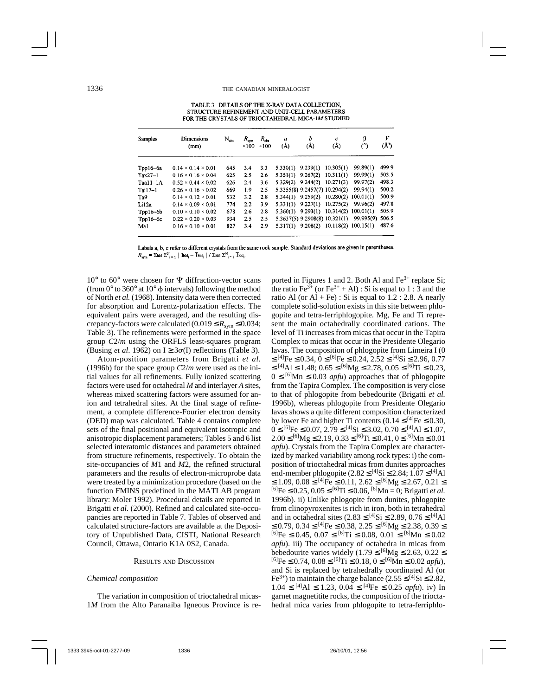TABLE 3. DETAILS OF THE X-RAY DATA COLLECTION. STRUCTURE REFINEMENT AND UNIT-CELL PARAMETERS FOR THE CRYSTALS OF TRIOCTAHEDRAL MICA-1M STUDIED

| <b>Samples</b> | <b>Dimensions</b><br>(mm)      | $N_{obs}$ | $R_{\rm sym}$<br>$\times$ 100 | $R_{\rm obs}$<br>$\times$ 100 | $\boldsymbol{a}$<br>(A) | b<br>(A)              | с<br>(A)                      | β<br>(°)                                      | V<br>$(\AA^3)$ |
|----------------|--------------------------------|-----------|-------------------------------|-------------------------------|-------------------------|-----------------------|-------------------------------|-----------------------------------------------|----------------|
| Tpp16-6a       | $0.14 \times 0.14 \times 0.01$ | 645       | 3.4                           | 3.3                           | 5.330(1)                | 9.239(1)              | 10.305(1)                     | 99.89(1)                                      | 499.9          |
| $Tax27-1$      | $0.16 \times 0.16 \times 0.04$ | 625       | 2.5                           | 2.6                           | 5.351(1)                | 9.267(2)              | 10.311(1)                     | 99.99(1)                                      | 503.5          |
| $Taal1-1A$     | $0.52 \times 0.44 \times 0.02$ | 626       | 2.4                           | 3.6                           | 5.329(2)                |                       | $9.244(2)$ 10.271(3)          | 99.97(2)                                      | 498.3          |
| $Tail7-1$      | $0.26 \times 0.16 \times 0.02$ | 669       | 1.9                           | 2.5                           |                         |                       | 5.3355(8) 9.2457(7) 10.294(2) | 99.94(1)                                      | 500.2          |
| Ta9            | $0.14 \times 0.12 \times 0.01$ | 532       | 3.2                           | 2.8                           |                         | $5.344(1)$ $9.259(2)$ | 10.280(2)                     | 100.01(1)                                     | 500.9          |
| Li12a          | $0.14 \times 0.09 \times 0.01$ | 774       | 2.2                           | 3.9                           | 5.331(1)                | 9.227(1)              | 10.275(2)                     | 99.96(2)                                      | 497.8          |
| $Tpp16-6b$     | $0.10 \times 0.10 \times 0.02$ | 678       | 2.6                           | 2.8                           |                         | $5.360(1)$ 9.293(1)   | 10.314(2)                     | 100.01(1)                                     | 505.9          |
| Tpp16-6c       | $0.22 \times 0.20 \times 0.03$ | 934       | 2.5                           | 2.5                           |                         |                       | 5.3637(5) 9.2908(8) 10.321(1) | 99.995(9)                                     | 506.5          |
| Ma1            | $0.16 \times 0.10 \times 0.01$ | 827       | 3.4                           | 2.9                           |                         |                       |                               | $5.317(1)$ $9.208(2)$ $10.118(2)$ $100.15(1)$ | 487.6          |

Labels a, b, c refer to different crystals from the same rock sample. Standard deviations are given in parentheses.  $R_{\text{sym}} = \Sigma$ hki  $\Sigma_{i=1}^N \parallel \text{Inkl}_i - \overline{\text{Inkl}}_i \parallel / \Sigma$ bki  $\Sigma_{i=1}^N \parallel \text{Inkl}_i$ .

 $10^{\circ}$  to  $60^{\circ}$  were chosen for  $\Psi$  diffraction-vector scans (from  $0^{\circ}$  to 360° at 10°  $\phi$  intervals) following the method of North *et al.* (1968). Intensity data were then corrected for absorption and Lorentz-polarization effects. The equivalent pairs were averaged, and the resulting discrepancy-factors were calculated  $(0.019 \le R_{\text{sym}} \le 0.034;$ Table 3). The refinements were performed in the space group *C*2/*m* using the ORFLS least-squares program (Busing *et al.* 1962) on  $I \geq 3\sigma(I)$  reflections (Table 3).

Atom-position parameters from Brigatti *et al.* (1996b) for the space group *C*2/*m* were used as the initial values for all refinements. Fully ionized scattering factors were used for octahedral *M* and interlayer *A* sites, whereas mixed scattering factors were assumed for anion and tetrahedral sites. At the final stage of refinement, a complete difference-Fourier electron density (DED) map was calculated. Table 4 contains complete sets of the final positional and equivalent isotropic and anisotropic displacement parameters; Tables 5 and 6 list selected interatomic distances and parameters obtained from structure refinements, respectively. To obtain the site-occupancies of *M*1 and *M*2, the refined structural parameters and the results of electron-microprobe data were treated by a minimization procedure (based on the function FMINS predefined in the MATLAB program library: Moler 1992). Procedural details are reported in Brigatti *et al.* (2000). Refined and calculated site-occupancies are reported in Table 7. Tables of observed and calculated structure-factors are available at the Depository of Unpublished Data, CISTI, National Research Council, Ottawa, Ontario K1A 0S2, Canada.

#### RESULTS AND DISCUSSION

#### *Chemical composition*

The variation in composition of trioctahedral micas-1*M* from the Alto Paranaíba Igneous Province is reported in Figures 1 and 2. Both Al and  $Fe<sup>3+</sup>$  replace Si; the ratio Fe<sup>3+</sup> (or Fe<sup>3+</sup> + Al) : Si is equal to 1 :  $\overline{3}$  and the ratio Al (or Al + Fe) : Si is equal to  $1.2$  : 2.8. A nearly complete solid-solution exists in this site between phlogopite and tetra-ferriphlogopite. Mg, Fe and Ti represent the main octahedrally coordinated cations. The level of Ti increases from micas that occur in the Tapira Complex to micas that occur in the Presidente Olegario lavas. The composition of phlogopite from Limeira I (0  $≤$  [4]Fe ≤ 0.34, 0 ≤ [6]Fe ≤ 0.24, 2.52 ≤ [4]Si ≤ 2.96, 0.77  $\leq$  [4]Al ≤ 1.48; 0.65 ≤ [6]Mg ≤ 2.78, 0.05 ≤ [6]Ti ≤ 0.23,  $0 \leq$  [6]Mn  $\leq$  0.03 *apfu*) approaches that of phlogopite from the Tapira Complex. The composition is very close to that of phlogopite from bebedourite (Brigatti *et al.* 1996b), whereas phlogopite from Presidente Olegario lavas shows a quite different composition characterized by lower Fe and higher Ti contents (0.14  $\leq$  [4]Fe  $\leq$  0.30,  $0 \leq$  [6]Fe  $\leq$  0.07, 2.79  $\leq$  [4]Si  $\leq$  3.02, 0.70  $\leq$  [4]Al  $\leq$  1.07,  $2.00 \leq$  [6] $Mg \leq 2.19$ ,  $0.33 \leq$  [6] $Ti \leq 0.41$ ,  $0 \leq$  [6] $Mn \leq 0.01$ *apfu*). Crystals from the Tapira Complex are characterized by marked variability among rock types: i) the composition of trioctahedral micas from dunites approaches end-member phlogopite  $(2.82 \leq$  [4]Si  $\leq$  2.84; 1.07  $\leq$  [4]Al  $\leq$  1.09, 0.08  $\leq$  <sup>[4]</sup>Fe  $\leq$  0.11, 2.62  $\leq$  <sup>[6]</sup>Mg  $\leq$  2.67, 0.21  $\leq$  $^{[6]}Fe \leq 0.25$ ,  $0.05 \leq ^{[6]}Ti \leq 0.06$ ,  $^{[6]}Mn = 0$ ; Brigatti *et al.* 1996b). ii) Unlike phlogopite from dunites, phlogopite from clinopyroxenites is rich in iron, both in tetrahedral and in octahedral sites (2.83 ≤ [4]Si ≤ 2.89, 0.76 ≤ [4]Al ≤ 0.79, 0.34 ≤ <sup>[4]</sup>Fe ≤ 0.38, 2.25 ≤ <sup>[6]</sup>Mg ≤ 2.38, 0.39 ≤  $^{[6]}Fe \leq 0.45$ ,  $0.07 \leq$   $^{[6]}Ti \leq 0.08$ ,  $0.01 \leq$   $^{[6]}Mn \leq 0.02$ *apfu*). iii) The occupancy of octahedra in micas from bebedourite varies widely (1.79  $\leq$  [6]Mg  $\leq$  2.63, 0.22  $\leq$  $^{[6]}Fe$  ≤ 0.74, 0.08 ≤ <sup>[6]</sup>Ti ≤ 0.18, 0 ≤ <sup>[6]</sup>Mn ≤ 0.02 *apfu*), and Si is replaced by tetrahedrally coordinated Al (or Fe<sup>3+</sup>) to maintain the charge balance (2.55  $\leq$  [4]Si  $\leq$  2.82,  $1.04 \leq$  [4]Al  $\leq$  1.23, 0.04  $\leq$  [4]Fe  $\leq$  0.25 *apfu*). iv) In garnet magnetitite rocks, the composition of the trioctahedral mica varies from phlogopite to tetra-ferriphlo-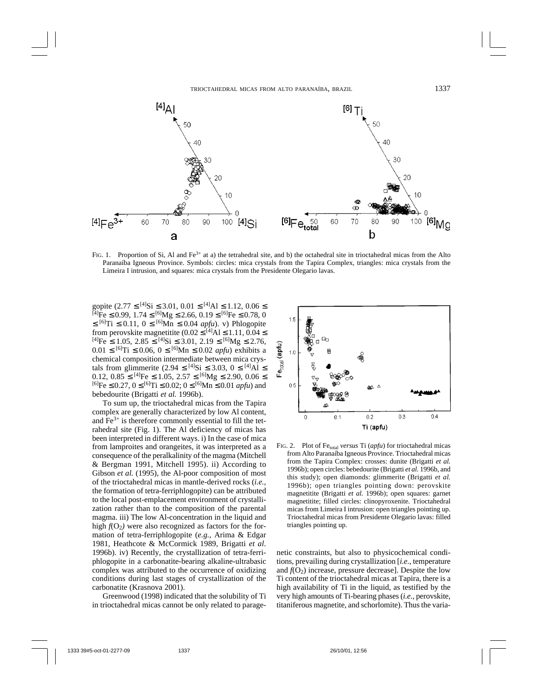

FIG. 1. Proportion of Si, Al and  $Fe^{3+}$  at a) the tetrahedral site, and b) the octahedral site in trioctahedral micas from the Alto Paranaíba Igneous Province. Symbols: circles: mica crystals from the Tapira Complex, triangles: mica crystals from the Limeira I intrusion, and squares: mica crystals from the Presidente Olegario lavas.

gopite  $(2.77 \leq [4]$ Si  $\leq 3.01$ ,  $0.01 \leq [4]$ Al  $\leq 1.12$ ,  $0.06 \leq$  $^{[4]}$ Fe  $\leq$  0.99, 1.74  $\leq$  <sup>[6]</sup>Mg  $\leq$  2.66, 0.19  $\leq$  <sup>[6]</sup>Fe  $\leq$  0.78, 0 ≤ [6]Ti ≤ 0.11, 0 ≤ [6]Mn ≤ 0.04 *apfu*). v) Phlogopite from perovskite magnetitite  $(0.02 \leq [4]$ Al  $\leq 1.11, 0.04 \leq$  $^{[4]}Fe \leq 1.05$ ,  $2.85 \leq ^{[4]}Si \leq 3.01$ ,  $2.19 \leq ^{[6]}Mg \leq 2.76$ ,  $0.01 \leq$  <sup>[6]</sup>Ti ≤ 0.06, 0 ≤ <sup>[6]</sup>Mn ≤ 0.02 *apfu*) exhibits a chemical composition intermediate between mica crystals from glimmerite (2.94 ≤ [4]Si ≤ 3.03, 0 ≤ [4]Al ≤ 0.12,  $0.85 \leq$  [4]Fe  $\leq$  1.05,  $2.57 \leq$  [6]Mg  $\leq$  2.90,  $0.06 \leq$  $[6]$ Fe  $\leq$  0.27,  $0 \leq [6]$ Ti  $\leq$  0.02;  $0 \leq [6]$ Mn  $\leq$  0.01 *apfu*) and bebedourite (Brigatti *et al.* 1996b).

To sum up, the trioctahedral micas from the Tapira complex are generally characterized by low Al content, and  $Fe<sup>3+</sup>$  is therefore commonly essential to fill the tetrahedral site (Fig. 1). The Al deficiency of micas has been interpreted in different ways. i) In the case of mica from lamproites and orangeites, it was interpreted as a consequence of the peralkalinity of the magma (Mitchell & Bergman 1991, Mitchell 1995). ii) According to Gibson et al. (1995), the Al-poor composition of most of the trioctahedral micas in mantle-derived rocks (*i.e.,* the formation of tetra-ferriphlogopite) can be attributed to the local post-emplacement environment of crystallization rather than to the composition of the parental magma. iii) The low Al-concentration in the liquid and high  $f(O_2)$  were also recognized as factors for the formation of tetra-ferriphlogopite (*e.g.,* Arima & Edgar 1981, Heathcote & McCormick 1989, Brigatti *et al*. 1996b). iv) Recently, the crystallization of tetra-ferriphlogopite in a carbonatite-bearing alkaline-ultrabasic complex was attributed to the occurrence of oxidizing conditions during last stages of crystallization of the carbonatite (Krasnova 2001).

Greenwood (1998) indicated that the solubility of Ti in trioctahedral micas cannot be only related to parage-



FIG. 2. Plot of Fe<sub>total</sub> *versus* Ti (*apfu*) for trioctahedral micas from Alto Paranaíba Igneous Province. Trioctahedral micas from the Tapira Complex: crosses: dunite (Brigatti *et al.* 1996b); open circles: bebedourite (Brigatti *et al.* 1996b, and this study); open diamonds: glimmerite (Brigatti *et al.* 1996b); open triangles pointing down: perovskite magnetitite (Brigatti *et al.* 1996b); open squares: garnet magnetitite; filled circles: clinopyroxenite. Trioctahedral micas from Limeira I intrusion: open triangles pointing up. Trioctahedral micas from Presidente Olegario lavas: filled triangles pointing up.

netic constraints, but also to physicochemical conditions, prevailing during crystallization [*i.e.*, temperature and  $f(O_2)$  increase, pressure decrease]. Despite the low Ti content of the trioctahedral micas at Tapira, there is a high availability of Ti in the liquid, as testified by the very high amounts of Ti-bearing phases (*i.e.*, perovskite, titaniferous magnetite, and schorlomite). Thus the varia-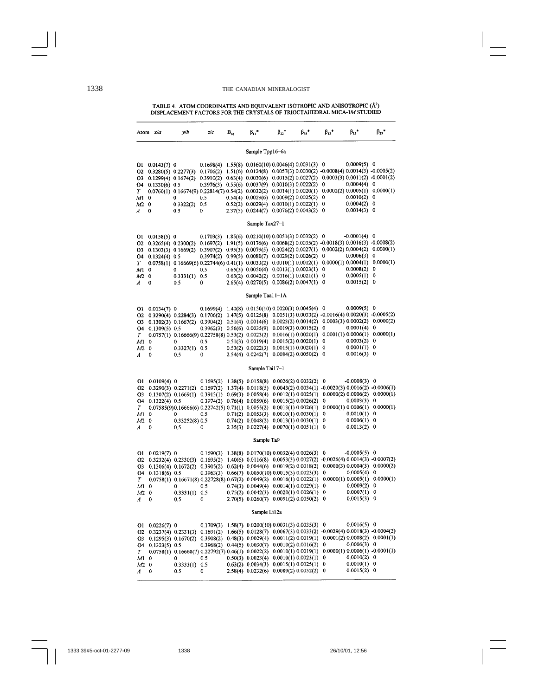## 1338 THE CANADIAN MINERALOGIST

TABLE 4 ATOM COORDINATES AND EQUIVALENT ISOTROPIC AND ANISOTROPIC  $\left\{ A^z \right\}$  DISPLACEMENT FACTORS FOR THE CRYSTALS OF TRIOCTAHEDRAL MICA-1M STUDIED

|                                                            | Atom x/a                                                  | y/b                                                                                                                                                                                                                                                                                                                                                                                             | zlc                        | $\mathbf{B}_{\mathrm{eq}}$ | $\beta_{11}$                                                                                                                                                                                                                                                                                                                                                                                                                                                           | $\beta_{22}$ * | $\beta_{33}$ *        | $\beta_{12}$ *                         | $\beta_{13}$ *                                                                                                                      | $\beta_{23}$ *                            |
|------------------------------------------------------------|-----------------------------------------------------------|-------------------------------------------------------------------------------------------------------------------------------------------------------------------------------------------------------------------------------------------------------------------------------------------------------------------------------------------------------------------------------------------------|----------------------------|----------------------------|------------------------------------------------------------------------------------------------------------------------------------------------------------------------------------------------------------------------------------------------------------------------------------------------------------------------------------------------------------------------------------------------------------------------------------------------------------------------|----------------|-----------------------|----------------------------------------|-------------------------------------------------------------------------------------------------------------------------------------|-------------------------------------------|
|                                                            | Sample Tpp16-6a                                           |                                                                                                                                                                                                                                                                                                                                                                                                 |                            |                            |                                                                                                                                                                                                                                                                                                                                                                                                                                                                        |                |                       |                                        |                                                                                                                                     |                                           |
| 01<br>O <sub>2</sub><br>O3                                 | $0.0143(7)$ 0                                             | $0.3280(5)$ $0.2277(3)$<br>$0.1299(4)$ $0.1674(2)$                                                                                                                                                                                                                                                                                                                                              |                            |                            | $0.1698(4)$ $1.55(8)$ $0.0160(10)$ $0.0046(4)$ $0.0031(3)$ 0<br>$0.1706(2)$ $1.51(6)$ $0.0124(8)$ $0.0057(3)$ $0.0030(2)$ $-0.0008(4)$ $0.0014(3)$ $-0.0005(2)$<br>$0.3910(2)$ $0.63(4)$ $0.0030(6)$ $0.0015(2)$ $0.0027(2)$ $0.0003(3)$ $0.0011(2)$ -0.0001(2)                                                                                                                                                                                                        |                |                       |                                        | $0.0009(5)$ 0                                                                                                                       |                                           |
| O <sub>4</sub><br>$\cal T$<br>M1                           | $0.1330(6)$ 0.5<br>0                                      | $0.0760(1)$ $0.16674(9)$ $0.22814(7)$ $0.54(2)$ $0.0032(2)$ $0.0014(1)$ $0.0020(1)$ $0.0002(2)$ $0.0005(1)$<br>0                                                                                                                                                                                                                                                                                | 0.5                        |                            | 0.3976(3) 0.55(6) 0.0037(9) 0.0010(3) 0.0022(2) 0<br>$0.54(4)$ $0.0029(6)$ $0.0009(2)$ $0.0025(2)$ 0                                                                                                                                                                                                                                                                                                                                                                   |                |                       |                                        | $0.0004(4)$ 0<br>0.0010(2)                                                                                                          | 0.0000(1)<br>0                            |
| M <sub>2</sub><br>A                                        | 0<br>0                                                    | 0.3322(2)<br>0.5                                                                                                                                                                                                                                                                                                                                                                                | 0.5<br>0                   |                            | $0.52(2)$ $0.0029(4)$ $0.0010(1)$ $0.0022(1)$<br>2.37(5) 0.0244(7) 0.0076(2) 0.0043(2) 0                                                                                                                                                                                                                                                                                                                                                                               |                |                       | 0                                      | 0.0004(2)<br>0.0014(3)                                                                                                              | 0<br>0                                    |
|                                                            |                                                           |                                                                                                                                                                                                                                                                                                                                                                                                 |                            |                            | Sample Tax27-1                                                                                                                                                                                                                                                                                                                                                                                                                                                         |                |                       |                                        |                                                                                                                                     |                                           |
| 01<br>02<br>О3<br>04<br>T<br>M1<br>M2<br>A                 | $0.0158(5)$ 0<br>$0.1324(4)$ 0.5<br>0<br>$\mathbf 0$<br>0 | $0.3265(4)$ $0.2300(2)$<br>$0.1303(3)$ $0.1669(2)$<br>$0.0758(1)$ $0.16669(6)$ $0.22744(6)$ $0.41(1)$ $0.0033(2)$ $0.0010(1)$ $0.0012(1)$ $0.0000(1)$ $0.0004(1)$<br>0<br>0.3331(1)<br>0.5                                                                                                                                                                                                      | 0.5<br>0.5<br>0            |                            | $0.1703(3)$ 1.85(6) $0.0210(10)$ 0.0051(3) 0.0032(2) 0<br>$0.1697(2)$ 1.91(5) $0.0176(6)$ 0.0068(2) 0.0035(2) -0.0018(3) 0.0016(3) -0.0008(2)<br>$0.3907(2)$ $0.95(3)$ $0.0079(5)$ $0.0024(2)$ $0.0027(1)$ $0.0002(2)$ $0.0004(2)$ $0.0000(1)$<br>$0.3974(2)$ $0.99(5)$ $0.0080(7)$ $0.0029(2)$ $0.0026(2)$ 0<br>$0.65(3)$ $0.0050(4)$ $0.0013(1)$ $0.0023(1)$ 0<br>$0.63(2)$ $0.0042(2)$ $0.0016(1)$ $0.0021(1)$ 0<br>2.65(4) 0.0270(5) 0.0086(2) 0.0047(1) 0         |                |                       |                                        | $-0.0001(4)$ 0<br>0.0006(3)<br>0.0008(2)<br>0.0005(1)<br>$0.0015(2)$ 0                                                              | 0<br>0.0000(1)<br>0<br>0                  |
|                                                            |                                                           |                                                                                                                                                                                                                                                                                                                                                                                                 |                            |                            | Sample Taal I-1A                                                                                                                                                                                                                                                                                                                                                                                                                                                       |                |                       |                                        |                                                                                                                                     |                                           |
| 01<br>O2<br>O3<br>О4<br>T<br>M <sub>1</sub><br>$M2$ 0<br>A | $0.0134(7)$ 0<br>0.1309(5) 0.5<br>0<br>0                  | $0.3290(4)$ $0.2284(3)$<br>$0.1302(3)$ $0.1667(2)$<br>$0.0757(1)$ $0.16666(9)$ $0.22758(8)$ $0.53(2)$ $0.0023(2)$ $0.0016(1)$ $0.0020(1)$ $0.0001(1)$ $0.0006(1)$<br>0<br>0.3327(1)<br>0.5                                                                                                                                                                                                      | 0.5<br>0.5<br>$\mathbf{0}$ |                            | $0.1699(4)$ $1.40(8)$ $0.0150(10)$ $0.0020(3)$ $0.0045(4)$ 0<br>$0.1706(2)$ $1.47(5)$ $0.0125(8)$ $0.0051(3)$ $0.0033(2)$ $-0.0016(4)$ $0.0020(3)$ $-0.0005(2)$<br>$0.3904(2)$ $0.51(4)$ $0.0014(6)$ $0.0023(2)$ $0.0014(2)$ $0.0003(3)$ $0.0002(2)$ $0.0000(2)$<br>$0.3962(3)$ $0.56(6)$ $0.0035(9)$ $0.0019(3)$ $0.0015(2)$ 0<br>$0.51(3)$ 0.0019(4) 0.0015(2) 0.0020(1)<br>$0.53(2)$ $0.0022(3)$ $0.0015(1)$ $0.0020(1)$<br>$2.54(4)$ 0.0242(7) 0.0084(2) 0.0050(2) |                |                       | $\bf{0}$<br>0<br>$\mathbf 0$           | $0.0009(5)$ 0<br>0.0001(4)<br>0.0003(2)<br>0.0001(1)<br>0.0016(3)                                                                   | 0<br>0.0000(1)<br>0<br>0<br>0             |
|                                                            |                                                           |                                                                                                                                                                                                                                                                                                                                                                                                 |                            |                            | Sample Tai17-1                                                                                                                                                                                                                                                                                                                                                                                                                                                         |                |                       |                                        |                                                                                                                                     |                                           |
| 01<br>02<br>О3<br>O <sub>4</sub><br>T<br>M1<br>$M2$ 0<br>A | $0.0109(4)$ 0<br>$0.1322(4)$ 0.5<br>$\mathbf 0$<br>0      | $0.3290(3)$ $0.2271(2)$ $0.1697(2)$<br>$0.1307(2)$ $0.1669(1)$ $0.3913(1)$ $0.69(3)$ $0.0058(4)$ $0.0012(1)$ $0.0025(1)$ $0.0000(2)$ $0.0006(2)$ $0.0000(1)$<br>$0.07585(9)0.16666(6) 0.22742(5) 0.71(1) 0.0055(2)$<br>0<br>0.33252(8)0.5<br>0.5                                                                                                                                                | 0.5<br>0                   |                            | $0.1695(2)$ 1.38(5) 0.0158(8) 0.0026(2) 0.0032(2) 0<br>$1.37(4)$ 0.0118(5) 0.0043(2) 0.0034(1) -0.0020(3) 0.0016(2) -0.0006(1)<br>$0.3974(2)$ $0.76(4)$ $0.0059(6)$ $0.0015(2)$ $0.0026(2)$ 0<br>$0.71(2)$ 0.0053(3)<br>$0.74(2)$ $0.0048(2)$ $0.0013(1)$ $0.0030(1)$<br>2.35(3) 0.0227(4) 0.0070(1) 0.0051(1) 0                                                                                                                                                       |                | 0.0010(1) 0.0030(1) 0 | $\Omega$                               | $-0.0008(3)$ 0<br>$0.0003(3)$ 0<br>$0.0013(1) 0.0026(1) 0.0000(1) 0.0006(1) 0.0000(1)$<br>$0.0010(1)$ 0<br>0.0006(1)<br>0.0013(2) 0 | $\mathbf 0$                               |
|                                                            |                                                           |                                                                                                                                                                                                                                                                                                                                                                                                 |                            |                            | Sample Ta9                                                                                                                                                                                                                                                                                                                                                                                                                                                             |                |                       |                                        |                                                                                                                                     |                                           |
| 01<br>02<br>О3<br>О4<br>T<br>M1<br>M2 0<br>A               | $0.0219(7)$ 0<br>$0.1318(6)$ 0.5<br>$\Omega$<br>0         | $0.3232(4)$ $0.2330(3)$ $0.1695(2)$ $1.40(6)$ $0.0116(8)$ $0.0053(3)$ $0.0027(2)$ $-0.0026(4)$ $0.0014(3)$ $-0.0007(2)$<br>$0.1306(4)$ $0.1672(2)$ $0.3905(2)$ $0.62(4)$ $0.0044(6)$ $0.0019(2)$ $0.0018(2)$ $0.0000(3)$ $0.0004(3)$ $0.0000(2)$<br>$0.0758(1)$ $0.16671(8)$ $0.22728(8)$ $0.67(2)$ $0.0049(2)$ $0.0016(1)$ $0.0022(1)$ $0.0000(1)$ $0.0005(1)$<br>$\Omega$<br>0.3331(1)<br>0,5 | 05<br>0.5<br>0             |                            | $0.1690(3)$ 1.38(8) $0.0170(10)$ 0.0032(4) 0.0026(3) 0<br>$0.3963(3)$ $0.66(7)$ $0.0050(10)$ $0.0015(3)$ $0.0023(3)$<br>$0.74(3)$ $0.0049(4)$ $0.0014(1)$ $0.0029(1)$<br>$0.75(2)$ $0.0042(3)$ $0.0020(1)$ $0.0026(1)$<br>$2.70(5)$ 0.0260(7) 0.0091(2) 0.0050(2) 0<br>Sample Li12a                                                                                                                                                                                    |                |                       | $\mathbf 0$<br>$\bf{0}$<br>$\mathbf 0$ | $-0.0005(5)$ 0<br>0.0005(4)<br>0.0009(2)<br>0.0007(1)<br>$0.0015(3)$ 0                                                              | $\Omega$<br>0.0000(1)<br>0<br>$\mathbf 0$ |
| 01                                                         | $0.0226(7)$ 0                                             |                                                                                                                                                                                                                                                                                                                                                                                                 |                            |                            | $0.1709(3)$ 1.58(7) $0.0200(10)$ 0.0031(3) 0.0035(3) 0                                                                                                                                                                                                                                                                                                                                                                                                                 |                |                       |                                        | $0.0016(5)$ 0                                                                                                                       |                                           |
| O <sub>2</sub><br>O3<br>04<br>T                            | $0.1323(5)$ 0.5                                           | $0.3237(4)$ $0.2331(3)$ $0.1691(2)$ $1.66(5)$ $0.0128(7)$ $0.0067(3)$ $0.0033(2)$ $-0.0029(4)$ $0.0018(3)$ $-0.0004(2)$<br>$0.1295(3)$ $0.1670(2)$ $0.3908(2)$<br>$0.0758(1)$ 0.16668(7) 0.22792(7) 0.46(1) 0.0022(2)                                                                                                                                                                           |                            |                            | $0.48(3)$ $0.0029(4)$ $0.0011(2)$ $0.0019(1)$ $0.0001(2)$ $0.0008(2)$ $0.0001(1)$<br>$0.3968(2)$ $0.44(5)$ $0.0030(7)$ $0.0010(2)$ $0.0016(2)$                                                                                                                                                                                                                                                                                                                         |                |                       | $\mathbf 0$                            | $0.0006(3)$ 0<br>$0.0010(1) 0.0019(1) 0.0000(1) 0.0006(1) -0.0001(1)$                                                               |                                           |
| M<br>M2<br>A                                               | 0<br>0<br>0                                               | $\Omega$<br>0.3333(1)<br>0.5                                                                                                                                                                                                                                                                                                                                                                    | 0.5<br>0.5<br>0            |                            | $0.50(3)$ $0.0023(4)$ $0.0010(1)$ $0.0023(1)$ 0<br>$0.63(2)$ $0.0034(3)$ $0.0015(1)$ $0.0025(1)$<br>2.58(4) 0.0232(6) 0.0089(2) 0.0052(2) 0                                                                                                                                                                                                                                                                                                                            |                |                       | $\mathbf 0$                            | 0.0010(2) 0<br>0.0010(1)<br>$0.0015(2)$ 0                                                                                           | 0                                         |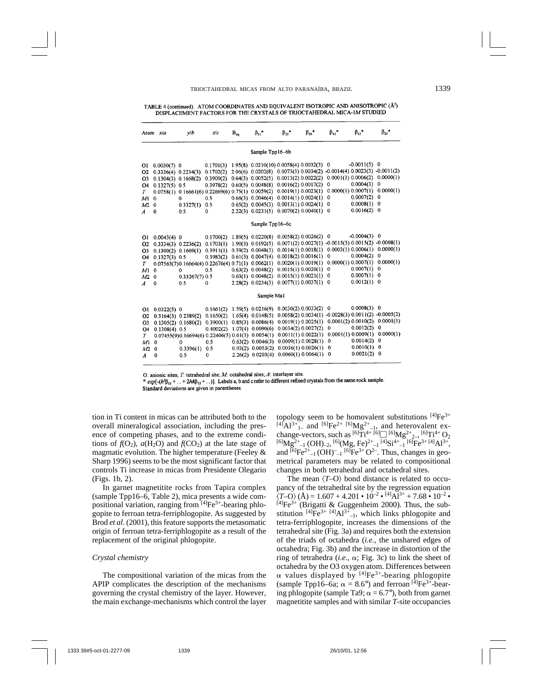TABLE 4 (continued). ATOM COORDINATES AND EQUIVALENT ISOTROPIC AND ANISOTROPIC (Å<sup>2</sup>) DISPLACEMENT FACTORS FOR THE CRYSTALS OF TRIOCTAHEDRAL MICA-1M STUDIED

|                                                                                               | Atom x/a                                                                   | v/b                                                                                                                                             | z/c                                                                 | $B_{ca}$ | $\beta_{11}$ *                                                                                                                                                                                             | $\beta_{22}$ *                                                                                                                                                                       | $\beta_{33}$ * | $\beta_{12}$ *                                   | $\beta_{13}$ *                                                                                                   | $\beta_{23}$ *                                                                                                                              |  |
|-----------------------------------------------------------------------------------------------|----------------------------------------------------------------------------|-------------------------------------------------------------------------------------------------------------------------------------------------|---------------------------------------------------------------------|----------|------------------------------------------------------------------------------------------------------------------------------------------------------------------------------------------------------------|--------------------------------------------------------------------------------------------------------------------------------------------------------------------------------------|----------------|--------------------------------------------------|------------------------------------------------------------------------------------------------------------------|---------------------------------------------------------------------------------------------------------------------------------------------|--|
|                                                                                               |                                                                            |                                                                                                                                                 |                                                                     |          | Sample Tpp16-6b                                                                                                                                                                                            |                                                                                                                                                                                      |                |                                                  |                                                                                                                  |                                                                                                                                             |  |
| 01<br>O <sub>2</sub><br>Ο3<br>04<br>T<br>M <sub>1</sub><br>M2<br>A                            | $0.0030(7)$ 0<br>$0.1327(5)$ 0.5<br>$\mathbf 0$<br>$\Omega$<br>$\mathbf 0$ | $0.3336(4)$ $0.2234(3)$<br>$0.1304(3)$ $0.1668(2)$<br>$0.0758(1)$ $0.16661(6)$ $0.22669(6)$ $0.75(1)$ $0.0059(2)$<br>0<br>0.3327(1)<br>0.5      | 0.1701(3)<br>0.1702(2)<br>0.3909(2)<br>0.3978(2)<br>0.5<br>0.5<br>0 |          | $1.95(8)$ 0.0210(10) 0.0058(4) 0.0032(3)<br>$2.06(6)$ 0.0202(8) 0.0073(3) 0.0034(2)<br>$0.64(3)$ $0.0052(5)$<br>$0.60(5)$ 0.0048(8)<br>$0.66(3)$ $0.0046(4)$<br>$0.65(2)$ $0.0045(3)$<br>2.22(3) 0.0231(5) | 0.0013(2) 0.0022(2)<br>0.0016(2) 0.0017(2)<br>0.0019(1) 0.0023(1)<br>0.0014(1) 0.0024(1)<br>0.0013(1) 0.0024(1)<br>0.0070(2) 0.0040(1)                                               |                | 0<br>$-0.0014(4)0.0023(3)$<br>0<br>0<br>0<br>0   | $-0.0011(5)$<br>0.0001(3) 0.0006(2)<br>0.0004(3)<br>0.0000(1) 0.0007(1)<br>0.0007(2)<br>0.0008(1)<br>0.0016(2)   | $\mathbf 0$<br>$-0.0011(2)$<br>0.0000(1)<br>0<br>0.0000(1)<br>0<br>0<br>$\mathbf 0$                                                         |  |
|                                                                                               | Sample Tpp16-6c                                                            |                                                                                                                                                 |                                                                     |          |                                                                                                                                                                                                            |                                                                                                                                                                                      |                |                                                  |                                                                                                                  |                                                                                                                                             |  |
| 01<br>02<br>O <sub>3</sub><br>O4<br>Т<br>M <sub>1</sub><br>M <sub>2</sub><br>$\boldsymbol{A}$ | $0.0043(4)$ 0<br>$0.1327(3)$ 0.5<br>$\Omega$<br>$\mathbf 0$<br>0           | $0.3334(3)$ $0.2236(2)$ $0.1703(1)$<br>$0.1300(2)$ $0.1669(1)$<br>$0.07563(7)0.16664(4)0.22676(4)0.71(1)0.0062(1)$<br>0<br>0.33267(7)0.5<br>0.5 | 0.1700(2)<br>0.3911(1)<br>0.3983(2)<br>0.5<br>$\bf{0}$              |          | 1.89(5) 0.0220(8)<br>$1.90(3)$ 0.0192(5)<br>$0.59(2)$ $0.0048(3)$<br>0.61(3) 0.0047(4)<br>0.63(2) 0.0048(2)<br>$0.63(1)$ $0.0048(2)$<br>2.28(2) 0.0234(3)                                                  | 0.0058(2) 0.0026(2)<br>0.0014(1) 0.0018(1)<br>0.0018(2) 0.0016(1)<br>0.0020(1) 0.0019(1)<br>0.0015(1) 0.0020(1)<br>0.0015(1) 0.0021(1)<br>0.0077(1) 0.0037(1)                        |                | 0<br>0<br>$\mathbf 0$<br>$\mathbf 0$<br>$\Omega$ | $-0.0004(3)$ 0<br>0.0003(1) 0.0006(1)<br>0.0004(2)<br>0.0000(1) 0.0007(1)<br>0.0007(1)<br>0.0007(1)<br>0.0012(1) | $0.0071(2) 0.0027(1) -0.0015(3) 0.0015(2) -0.0008(1)$<br>0.0000(1)<br>$\mathbf 0$<br>0.0000(1)<br>$\mathbf 0$<br>$\mathbf 0$<br>$\mathbf 0$ |  |
|                                                                                               |                                                                            |                                                                                                                                                 |                                                                     |          | Sample Mal                                                                                                                                                                                                 |                                                                                                                                                                                      |                |                                                  |                                                                                                                  |                                                                                                                                             |  |
| 01<br>02<br>O <sub>3</sub><br>04<br>T<br>M <sub>1</sub><br>M2<br>A                            | $0.0322(5)$ 0<br>$0.1308(4)$ 0.5<br>$\Omega$<br>$\Omega$<br>0              | $0.3164(3)$ $0.2389(2)$<br>$0.1305(2)$ $0.1680(2)$<br>$0.07455(9)0.16694(6) 0.22406(5) 0.61(1) 0.0054(1)$<br>0<br>0.3396(1)<br>0.5              | 0.1661(2)<br>0.1650(2)<br>0.3900(1)<br>0.4002(2)<br>0.5<br>0.5<br>0 |          | $1.59(5)$ 0.0216(9)<br>$1.65(4)$ 0.0148(5)<br>0.85(3) 0.0086(4)<br>$1.07(4)$ 0.0090(6)<br>$0.63(2)$ $0.0046(3)$<br>0.93(2) 0.0053(2)<br>$2.26(2)$ 0.0203(4)                                                | 0.0030(2) 0.0033(2)<br>0.0058(2) 0.0034(1)<br>0.0019(1) 0.0025(1)<br>0.0034(2) 0.0027(2)<br>0.0011(1) 0.0022(1)<br>0.0009(1) 0.0028(1)<br>0.0036(1) 0.0026(1)<br>0.0060(1) 0.0064(1) |                | 0<br>0<br>0<br>$\mathbf 0$<br>$^{\circ}$         | $0.0008(3)$ 0<br>0.0001(2) 0.0010(2)<br>0.0012(2)<br>0.0001(1) 0.0009(1)<br>0.0014(2)<br>0.0010(1)<br>0.0021(2)  | $-0.0028(3) 0.0011(2) -0.0005(2)$<br>0.0001(1)<br>0<br>0.0000(1)<br>0<br>0<br>0                                                             |  |

O: anionic sites;  $T$ : tetrahedral site;  $M$ : octahedral sites;  $A$ : interlayer site.

 $* exp[-(h<sup>2</sup>β<sub>11</sub> + ... + 2h<sup>k</sup>β<sub>12</sub> + ...)].$  Labels a, b and c refer to different refined crystals from the same rock sample. Standard deviations are given in parentheses.

tion in Ti content in micas can be attributed both to the overall mineralogical association, including the presence of competing phases, and to the extreme conditions of  $f(O_2)$ ,  $a(H_2O)$  and  $f(CO_2)$  at the late stage of magmatic evolution. The higher temperature (Feeley & Sharp 1996) seems to be the most significant factor that controls Ti increase in micas from Presidente Olegario (Figs. 1b, 2).

In garnet magnetitite rocks from Tapira complex (sample Tpp16–6, Table 2), mica presents a wide compositional variation, ranging from [4]Fe<sup>3+</sup>-bearing phlogopite to ferroan tetra-ferriphlogopite. As suggested by Brod *et al*. (2001), this feature supports the metasomatic origin of ferroan tetra-ferriphlogopite as a result of the replacement of the original phlogopite.

#### *Crystal chemistry*

The compositional variation of the micas from the APIP complicates the description of the mechanisms governing the crystal chemistry of the layer. However, the main exchange-mechanisms which control the layer

topology seem to be homovalent substitutions  $[4]Fe^{3+}$ [4]Al<sup>3+</sup><sub>1</sub>– and [6]Fe<sup>2+</sup> [6]Mg<sup>2+</sup><sub>-1</sub>, and heterovalent ex-<br>change-vectors, such as <sup>[6]</sup>Ti<sup>4+ [6]</sup>[1<sup>[6]</sup>Mg<sup>2+</sup><sub>2-1</sub>, <sup>[6]</sup>Ti<sup>4+</sup> O<sub>2</sub>  $c^{[6]}Mg^{2+}_{2-1}$  (OH)<sub>-2</sub>,  $c^{[6]}Mg$ , Fe)<sup>2+</sup><sub>-1</sub>  $\overline{[4]}Si^{4+}_{-1}$   $\overline{[6]}Fe^{3+}_{1}$  $\overline{[4]}Al^{3+}_{+}$ and  ${}^{[6]}Fe^{2+}{}_{-1}$  (OH)<sup>-</sup><sub>-1</sub>  ${}^{[6]}Fe^{3+}O^{2-}$ . Thus, changes in geometrical parameters may be related to compositional changes in both tetrahedral and octahedral sites.

The mean  $\langle T-O \rangle$  bond distance is related to occupancy of the tetrahedral site by the regression equation  $\langle T-O \rangle$  (Å) = 1.607 + 4.201 • 10<sup>-2</sup> • <sup>[4]</sup>Al<sup>3+</sup> + 7.68 • 10<sup>-2</sup> •  $T^{[4]}Fe^{3+}$  (Brigatti & Guggenheim 2000). Thus, the substitution  $[4]Fe^{3+}[4]Al^{3+}$ <sub>-1</sub>, which links phlogopite and tetra-ferriphlogopite, increases the dimensions of the tetrahedral site (Fig. 3a) and requires both the extension of the triads of octahedra (*i.e.*, the unshared edges of octahedra; Fig. 3b) and the increase in distortion of the ring of tetrahedra  $(i.e., \alpha; Fig. 3c)$  to link the sheet of octahedra by the O3 oxygen atom. Differences between  $\alpha$  values displayed by  $^{[4]}Fe^{3+}$ -bearing phlogopite (sample Tpp16–6a;  $\alpha = 8.6^{\circ}$ ) and ferroan [4]Fe<sup>3+</sup>-bearing phlogopite (sample Ta9;  $\alpha = 6.7^{\circ}$ ), both from garnet magnetitite samples and with similar *T*-site occupancies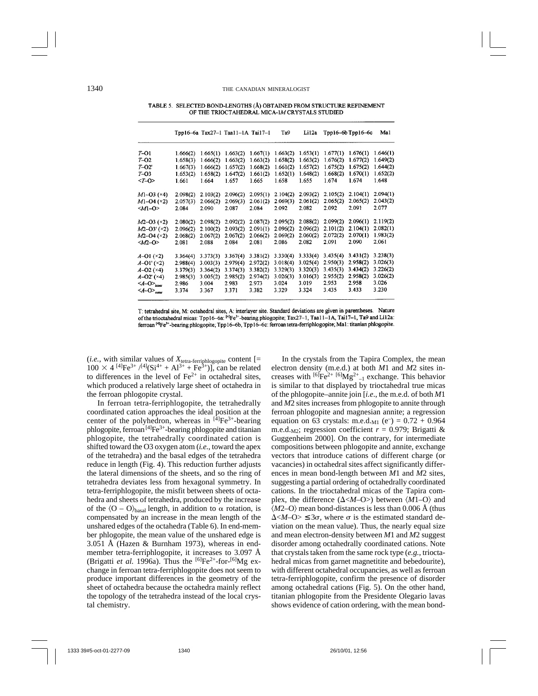TABLE 5. SELECTED BOND-LENGTHS (Å) OBTAINED FROM STRUCTURE REFINEMENT OF THE TRIOCTAHEDRAL MICA-IM CRYSTALS STUDIED

|                                        |          |          | Tpp16-6a Tax27-1 Taa11-1A Tai17-1 |          | Ta9      | Li12a    |          | $Tpp16-6b$ $Tpp16-6c$ | Mal      |
|----------------------------------------|----------|----------|-----------------------------------|----------|----------|----------|----------|-----------------------|----------|
| T-01                                   | 1.666(2) | 1.665(1) | 1.663(2)                          | 1.667(1) | 1,663(2) | 1.653(1) | 1.677(1) | 1.676(1)              | 1.646(1) |
| T-02                                   | 1.658(3) | 1,666(2) | 1.663(2)                          | 1.663(2) | 1.658(2) | 1.663(2) | 1.676(2) | 1.677(2)              | 1.649(2) |
| $T=O2'$                                | 1.667(3) | 1.666(2) | 1.657(2)                          | 1.668(2) | 1.661(2) | 1.657(2) | 1.675(2) | 1.675(2)              | 1.644(2) |
| $T - O3$                               | 1.653(2) | 1.658(2) | 1.647(2)                          | 1.661(2) | 1.652(1) | 1.648(2) | 1.668(2) | 1.670(1)              | 1.652(2) |
| $$                                     | 1.661    | 1.664    | 1.657                             | 1.665    | 1.658    | 1.655    | 1.674    | 1.674                 | 1.648    |
| M1-03 (×4)                             | 2.098(2) | 2.103(2) | 2.096(2)                          | 2.095(1) | 2.104(2) | 2.093(2) | 2.105(2) | 2.104(1)              | 2.094(1) |
| $M1 - O4 (×2)$                         | 2.057(3) | 2.066(2) | 2.069(3)                          | 2.061(2) | 2.069(3) | 2.061(2) | 2.065(2) | 2.065(2)              | 2.043(2) |
| $M1-0$                                 | 2.084    | 2.090    | 2.087                             | 2.084    | 2.092    | 2.082    | 2.092    | 2.091                 | 2.077    |
| $M2 - 03 \; (2)$                       | 2.080(2) | 2.098(2) | 2.092(2)                          | 2.087(2) | 2.095(2) | 2.088(2) | 2.099(2) | 2.096(1)              | 2.119(2) |
| $M2 - 03' (×2)$                        | 2.096(2) | 2.100(2) | 2.093(2)                          | 2.091(1) | 2.096(2) | 2.096(2) | 2.101(2) | 2.104(1)              | 2.082(1) |
| $M2 - 04 (×2)$                         | 2.068(2) | 2.067(2) | 2.067(2)                          | 2.066(2) | 2.069(2) | 2.060(2) | 2.072(2) | 2.070(1)              | 1.983(2) |
| <m2-o></m2-o>                          | 2.081    | 2.088    | 2.084                             | 2.081    | 2.086    | 2.082    | 2.091    | 2.090                 | 2.061    |
| A-O1 (×2)                              | 3.364(4) | 3.373(3) | 3.367(4)                          | 3.381(2) | 3.330(4) | 3.333(4) | 3.435(4) | 3.431(2)              | 3.238(3) |
| A-O1' (×2)                             | 2.988(4) | 3.003(3) | 2.979(4)                          | 2.972(2) | 3.018(4) | 3.025(4) | 2.950(3) | 2.958(2)              | 3.026(3) |
| $A - O2$ (×4)                          | 3.379(3) | 3.364(2) | 3.374(3)                          | 3.382(2) | 3.329(3) | 3.320(3) | 3.435(3) | 3.434(2)              | 3.226(2) |
| A-O2' (×4)                             | 2.985(3) | 3.005(2) | 2.985(2)                          | 2.974(2) | 3.026(3) | 3.016(3) | 2.955(2) | 2.958(2)              | 3.026(2) |
| $\langle A-O \rangle$ <sub>inner</sub> | 2.986    | 3.004    | 2.983                             | 2.973    | 3.024    | 3.019    | 2.953    | 2.958                 | 3.026    |
| $\langle A-O \rangle$ <sub>outer</sub> | 3.374    | 3.367    | 3.371                             | 3.382    | 3.329    | 3.324    | 3.435    | 3.433                 | 3.230    |
|                                        |          |          |                                   |          |          |          |          |                       |          |

T: tetrahedral site, M: octahedral sites, A: interlayer site. Standard deviations are given in parentheses. Nature of the trioctahedral micas: Tpp16-6a: <sup>[4]</sup>Fe<sup>3+</sup>-bearing phlogopite; Tax27-1, Taa11-1A, Tai17-1, Ta9 and Li12a: ferroan <sup>[4]</sup>Fe<sup>3+</sup>-bearing phlogopite; Tpp16-6b, Tpp16-6c: ferroan tetra-ferriphlogopite; Ma1: titanian phlogopite.

(*i.e.*, with similar values of  $X_{\text{tetra-ferriphlogopic}}$  content [=  $100 \times 4^{[4]} \text{Fe}^{3+}/^{[4]} \text{(Si}^{4+} + \text{Al}^{3+} + \text{Fe}^{3+})$ , can be related to differences in the level of  $Fe<sup>2+</sup>$  in octahedral sites, which produced a relatively large sheet of octahedra in the ferroan phlogopite crystal.

In ferroan tetra-ferriphlogopite, the tetrahedrally coordinated cation approaches the ideal position at the center of the polyhedron, whereas in  $[4]Fe^{3+}$ -bearing phlogopite, ferroan<sup>[4]</sup>Fe<sup>3+</sup>-bearing phlogopite and titanian phlogopite, the tetrahedrally coordinated cation is shifted toward the O3 oxygen atom (*i.e.*, toward the apex of the tetrahedra) and the basal edges of the tetrahedra reduce in length (Fig. 4). This reduction further adjusts the lateral dimensions of the sheets, and so the ring of tetrahedra deviates less from hexagonal symmetry. In tetra-ferriphlogopite, the misfit between sheets of octahedra and sheets of tetrahedra, produced by the increase of the  $\langle O - O \rangle_{\text{basal}}$  length, in addition to  $\alpha$  rotation, is compensated by an increase in the mean length of the unshared edges of the octahedra (Table 6). In end-member phlogopite, the mean value of the unshared edge is 3.051 Å (Hazen & Burnham 1973), whereas in endmember tetra-ferriphlogopite, it increases to 3.097 Å (Brigatti *et al.* 1996a). Thus the  $^{[6]}Fe^{2+}$ -for- $^{[6]}Mg$  exchange in ferroan tetra-ferriphlogopite does not seem to produce important differences in the geometry of the sheet of octahedra because the octahedra mainly reflect the topology of the tetrahedra instead of the local crystal chemistry.

In the crystals from the Tapira Complex, the mean electron density (m.e.d.) at both *M*1 and *M*2 sites increases with  $^{[6]}Fe^{2+ [6]}Mg^{2+}_{-1}$  exchange. This behavior is similar to that displayed by trioctahedral true micas of the phlogopite–annite join [*i.e*., the m.e.d. of both *M*1 and *M*2 sites increases from phlogopite to annite through ferroan phlogopite and magnesian annite; a regression equation on 63 crystals: m.e.d.<sub>M1</sub> (e<sup>-</sup>) =  $0.72 + 0.964$ m.e.d.<sub>M2</sub>; regression coefficient  $r = 0.979$ ; Brigatti & Guggenheim 2000]. On the contrary, for intermediate compositions between phlogopite and annite, exchange vectors that introduce cations of different charge (or vacancies) in octahedral sites affect significantly differences in mean bond-length between *M*1 and *M*2 sites, suggesting a partial ordering of octahedrally coordinated cations. In the trioctahedral micas of the Tapira complex, the difference  $(\Delta < M - O >)$  between  $\langle M1 - O \rangle$  and  $\langle M2-O \rangle$  mean bond-distances is less than 0.006 Å (thus  $\Delta < M - O > \leq 3\sigma$ , where  $\sigma$  is the estimated standard deviation on the mean value). Thus, the nearly equal size and mean electron-density between *M*1 and *M*2 suggest disorder among octahedrally coordinated cations. Note that crystals taken from the same rock type (*e.g.*, trioctahedral micas from garnet magnetitite and bebedourite), with different octahedral occupancies, as well as ferroan tetra-ferriphlogopite, confirm the presence of disorder among octahedral cations (Fig. 5). On the other hand, titanian phlogopite from the Presidente Olegario lavas shows evidence of cation ordering, with the mean bond-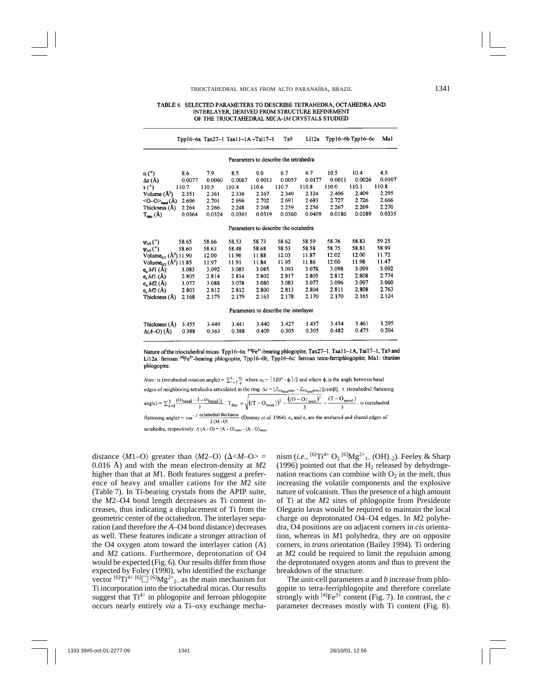#### TABLE 6. SELECTED PARAMETERS TO DESCRIBE TETRAHEDRA, OCTAHEDRA AND INTERLAYER, DERIVED FROM STRUCTURE REFINEMENT OF THE TRIOCTAHEDRAL MICA-1M CRYSTALS STUDIED

|                                                                |        |        |        | Tpp16-6a Tax27-1 Taa11-1A-Tai17-1     | Ta9    | Li12a  |        | $Tpp16-6b Tpp16-6c$ | Ma1    |  |  |  |  |
|----------------------------------------------------------------|--------|--------|--------|---------------------------------------|--------|--------|--------|---------------------|--------|--|--|--|--|
| Parameters to describe the tetrahedra                          |        |        |        |                                       |        |        |        |                     |        |  |  |  |  |
| $\alpha$ (°)                                                   | 8.6    | 7.9    | 8.5    | 9.0                                   | 6.7    | 6.7    | 10.5   | 10.4                | 4.5    |  |  |  |  |
| $\Delta z$ (Å)                                                 | 0.0077 | 0.0060 | 0.0067 | 0.0013                                | 0.0057 | 0.0177 | 0.0011 | 0.0026              | 0.0107 |  |  |  |  |
| $\tau$ (°)                                                     | 110.7  | 110.5  | 110.4  | 110.6                                 | 110.7  | 110.8  | 110.0  | 110.1               | 110.8  |  |  |  |  |
| Volume $(\mathring{A}^3)$                                      | 2.351  | 2.361  | 2.336  | 2.367                                 | 2.340  | 2.324  | 2.406  | 2.409               | 2.295  |  |  |  |  |
| $\langle 0$ - $0 \rangle$ <sub>basi</sub> $(\AA)$              | 2.696  | 2.701  | 2.696  | 2.702                                 | 2.691  | 2.683  | 2.727  | 2.726               | 2.666  |  |  |  |  |
| Thickness (Å)                                                  | 2.264  | 2.266  | 2.248  | 2.268                                 | 2.259  | 2.256  | 2.267  | 2.269               | 2.270  |  |  |  |  |
| $T_{\text{disp}}(\AA)$                                         | 0.0364 | 0.0324 | 0.0301 | 0.0319                                | 0.0360 | 0.0409 | 0.0186 | 0.0189              | 0.0335 |  |  |  |  |
|                                                                |        |        |        | Parameters to describe the octahedra  |        |        |        |                     |        |  |  |  |  |
| $\psi_{M}$ (°)                                                 | 58.65  | 58.66  | 58.53  | 58.73                                 | 58.62  | 58.59  | 58.76  | 58.83               | 59.25  |  |  |  |  |
| $\Psi_{M2}$ <sup>(°)</sup>                                     | 58.60  | 58.63  | 58.48  | 58.68                                 | 58.53  | 58.58  | 58.75  | 58.81               | 58.99  |  |  |  |  |
| Volume <sub><math>M_1</math></sub> ( $\AA^3$ ) 11.90           |        | 12.00  | 11.96  | 11.88                                 | 12.03  | 11.87  | 12.02  | 12.00               | 11.72  |  |  |  |  |
| Volume <sub><math>M2</math></sub> ( $\AA$ <sup>3</sup> ) 11.85 |        | 11.97  | 11.91  | 11.84                                 | 11.95  | 11.86  | 12.00  | 11.98               | 11.47  |  |  |  |  |
| e <sub>n</sub> M1(A)                                           | 3.083  | 3.092  | 3.083  | 3.085                                 | 3.093  | 3.078  | 3.098  | 3.099               | 3.092  |  |  |  |  |
| e, M1(A)                                                       | 2.805  | 2.814  | 2.814  | 2.802                                 | 2.817  | 2.805  | 2.812  | 2.808               | 2.774  |  |  |  |  |
| e <sub>n</sub> M2(A)                                           | 3.077  | 3.088  | 3.078  | 3.080                                 | 3.083  | 3.077  | 3.096  | 3.097               | 3.060  |  |  |  |  |
| e $M2(A)$                                                      | 2.803  | 2.812  | 2.812  | 2.800                                 | 2.813  | 2.804  | 2.811  | 2.808               | 2.763  |  |  |  |  |
| Thickness (Å)                                                  | 2.168  | 2.175  | 2.179  | 2.163                                 | 2.178  | 2.170  | 2.170  | 2.165               | 2.124  |  |  |  |  |
|                                                                |        |        |        | Parameters to describe the interlayer |        |        |        |                     |        |  |  |  |  |
| Thickness (Å)                                                  | 3.455  | 3.449  | 3.441  | 3.440                                 | 3.427  | 3.437  | 3.454  | 3.461               | 3.295  |  |  |  |  |
| $\Delta(A-O)$ (Å)                                              | 0.388  | 0.363  | 0.388  | 0.409                                 | 0.305  | 0.305  | 0.482  | 0.475               | 0.204  |  |  |  |  |

Nature of the trioctahedral micas: Tpp16-6a: [4]Fe<sup>3+</sup>-bearing phlogopite; Tax27-1, Taa11-1A, Tai17-1, Ta9 and Li12a: ferroan <sup>[4]</sup>Fe<sup>3+</sup>-bearing phlogopite; Tpp16-6b, Tpp16-6c: ferroan tetra-ferriphlogopite; Ma1: titanian phlogopite.

*Note:*  $\alpha$  (tetrahedral rotation angle) =  $\sum_{i=1}^{6} \frac{\alpha_i}{6}$  where  $\alpha_i = |120^{\circ} - \phi_i|/2$  and where  $\phi_i$  is the angle between basal edges of neighboring tetrahedra articulated in the ring.  $\Delta z = [Z_{(\text{V}_{\text{basal}}) \text{max}} - Z_{(\text{V}_{\text{basal}}) \text{min}}]$  [csinß].  $\tau$  (tetrahedral flattening<br>angle) =  $\sum_{i=1}^{3} \frac{(\text{O}_{\text{basal}} - \hat{T} - \text{O}_{\text{basal}})i}{3}$ .  $T_{\text{disp.}} = \sqrt{((T - \text{$ flattening angle) =  $cos^{-1}$  octahedral thickness (Donnay et al. 1964).  $e_u$  and  $e_s$  are the unshared and shared edges of  $2(M, 0)$ octahedra, respectively.  $\Delta (A - O) = \langle A - O \rangle_{outer} - \langle A - O \rangle_{inner}$ 

distance  $\langle M1-O \rangle$  greater than  $\langle M2-O \rangle$  ( $\Delta < M-O>$ ) 0.016 Å) and with the mean electron-density at *M*2 higher than that at *M*1. Both features suggest a preference of heavy and smaller cations for the *M*2 site (Table 7). In Ti-bearing crystals from the APIP suite, the *M*2–O4 bond length decreases as Ti content increases, thus indicating a displacement of Ti from the geometric center of the octahedron. The interlayer separation (and therefore the *A*–O4 bond distance) decreases as well. These features indicate a stronger attraction of the O4 oxygen atom toward the interlayer cation (A) and *M*2 cations. Furthermore, deprotonation of O4 would be expected (Fig. 6). Our results differ from those expected by Foley (1990), who identified the exchange vector  $[6]$ Ti<sup>4+ [6]</sup> $\Box$   $[6]$ Mg<sup>2+</sup><sub>2-</sub> as the main mechanism for Ti incorporation into the trioctahedral micas. Our results suggest that  $Ti^{4+}$  in phlogopite and ferroan phlogopite occurs nearly entirely *via* a Ti–oxy exchange mecha-

nism (*i.e.*, <sup>[6]</sup>Ti<sup>4+</sup> O<sub>2</sub> <sup>[6]</sup>Mg<sup>2+</sup><sub>1</sub> (OH)<sub>-2</sub>). Feeley & Sharp (1996) pointed out that the  $H_2$  released by dehydrogenation reactions can combine with  $O_2$  in the melt, thus increasing the volatile components and the explosive nature of volcanism. Thus the presence of a high amount of Ti at the *M*2 sites of phlogopite from Presidente Olegario lavas would be required to maintain the local charge on deprotonated O4–O4 edges. In *M*2 polyhedra, O4 positions are on adjacent corners in *cis* orientation, whereas in *M*1 polyhedra, they are on opposite corners, in *trans* orientation (Bailey 1994). Ti ordering at *M*2 could be required to limit the repulsion among the deprotonated oxygen atoms and thus to prevent the breakdown of the structure.

The unit-cell parameters *a* and *b* increase from phlogopite to tetra-ferriphlogopite and therefore correlate strongly with  $[4]Fe^{3+}$  content (Fig. 7). In contrast, the *c* parameter decreases mostly with Ti content (Fig. 8).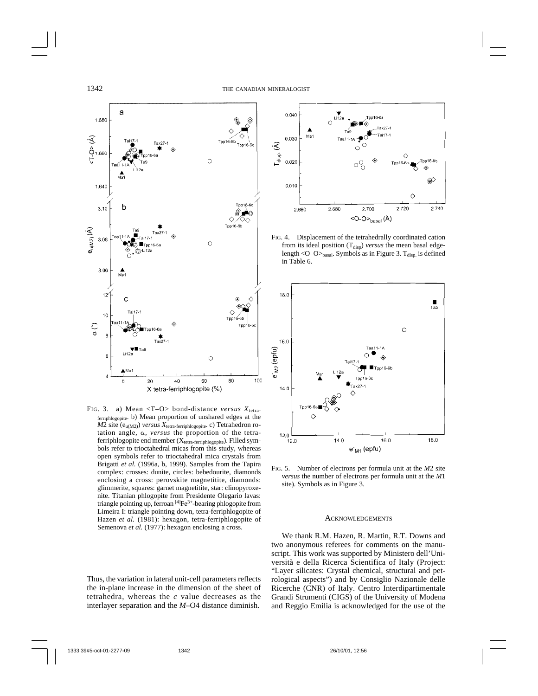

FIG. 3. a) Mean  $\langle T-O \rangle$  bond-distance *versus*  $X_{\text{tetra}}$ . ferriphlogopite. b) Mean proportion of unshared edges at the  $M2$  site ( $e_{u(M2)}$ ) *versus*  $X_{\text{tetra-ferriphlogopic}}$ . c) Tetrahedron rotation angle,  $\alpha$ , *versus* the proportion of the tetraferriphlogopite end member (X<sub>tetra-ferriphlogopite</sub>). Filled symbols refer to trioctahedral micas from this study, whereas open symbols refer to trioctahedral mica crystals from Brigatti *et al.* (1996a, b, 1999). Samples from the Tapira complex: crosses: dunite, circles: bebedourite, diamonds enclosing a cross: perovskite magnetitite, diamonds: glimmerite, squares: garnet magnetitite, star: clinopyroxenite. Titanian phlogopite from Presidente Olegario lavas: triangle pointing up, ferroan  $[4]Fe^{3+}$ -bearing phlogopite from Limeira I: triangle pointing down, tetra-ferriphlogopite of Hazen et al. (1981): hexagon, tetra-ferriphlogopite of Semenova et al. (1977): hexagon enclosing a cross.

Thus, the variation in lateral unit-cell parameters reflects the in-plane increase in the dimension of the sheet of tetrahedra, whereas the *c* value decreases as the interlayer separation and the *M*–O4 distance diminish.



FIG. 4. Displacement of the tetrahedrally coordinated cation from its ideal position (T<sub>disp</sub>) *versus* the mean basal edgelength < $O-O$ <sub>basal</sub>. Symbols as in Figure 3. T<sub>disp.</sub> is defined in Table 6.



FIG. 5. Number of electrons per formula unit at the *M*2 site *versus* the number of electrons per formula unit at the *M*1 site). Symbols as in Figure 3.

## ACKNOWLEDGEMENTS

We thank R.M. Hazen, R. Martin, R.T. Downs and two anonymous referees for comments on the manuscript. This work was supported by Ministero dell'Università e della Ricerca Scientifica of Italy (Project: "Layer silicates: Crystal chemical, structural and petrological aspects") and by Consiglio Nazionale delle Ricerche (CNR) of Italy. Centro Interdipartimentale Grandi Strumenti (CIGS) of the University of Modena and Reggio Emilia is acknowledged for the use of the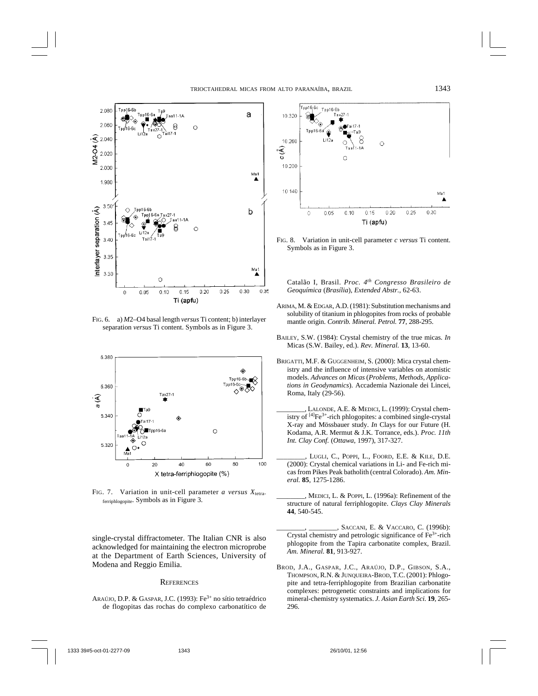

FIG. 6. a) *M*2–O4 basal length *versus* Ti content; b) interlayer separation *versus* Ti content. Symbols as in Figure 3.



FIG. 7. Variation in unit-cell parameter *a versus*  $X_{\text{tetra}}$ . ferriphlogopite. Symbols as in Figure 3.

single-crystal diffractometer. The Italian CNR is also acknowledged for maintaining the electron microprobe at the Department of Earth Sciences, University of Modena and Reggio Emilia.

## **REFERENCES**

ARAÚJO, D.P. & GASPAR, J.C. (1993): Fe3+ no sítio tetraédrico de flogopitas das rochas do complexo carbonatítico de



FIG. 8. Variation in unit-cell parameter *c versus* Ti content. Symbols as in Figure 3.

Catalão I, Brasil. *Proc. 4th Congresso Brasileiro de Geoquímica* (*Brasília*), *Extended Abstr.*, 62-63.

- ARIMA, M. & EDGAR, A.D. (1981): Substitution mechanisms and solubility of titanium in phlogopites from rocks of probable mantle origin. *Contrib. Mineral. Petrol.* **77**, 288-295.
- BAILEY, S.W. (1984): Crystal chemistry of the true micas. *In* Micas (S.W. Bailey, ed.). *Rev. Mineral.* **13**, 13-60.
- BRIGATTI, M.F. & GUGGENHEIM, S. (2000): Mica crystal chemistry and the influence of intensive variables on atomistic models. *Advances on Micas* (*Problems, Methods, Applications in Geodynamics*). Accademia Nazionale dei Lincei, Roma, Italy (29-56).
	- LALONDE, A.E. & MEDICI, L. (1999): Crystal chemistry of  $[4]Fe^{3+}$ -rich phlogopites: a combined single-crystal X-ray and Mössbauer study. *In* Clays for our Future (H. Kodama, A.R. Mermut & J.K. Torrance, eds.). *Proc. 11th Int. Clay Conf.* (*Ottawa*, 1997), 317-327.
	- \_\_\_\_\_\_\_\_, LUGLI, C., POPPI, L., FOORD, E.E. & KILE, D.E. (2000): Crystal chemical variations in Li- and Fe-rich micas from Pikes Peak batholith (central Colorado). *Am. Mineral.* **85**, 1275-1286.
	- \_\_\_\_\_\_\_\_, MEDICI, L. & POPPI, L. (1996a): Refinement of the structure of natural ferriphlogopite. *Clays Clay Minerals* **44**, 540-545.
	- \_\_\_\_\_\_\_\_, \_\_\_\_\_\_\_\_, SACCANI, E. & VACCARO, C. (1996b): Crystal chemistry and petrologic significance of Fe3+-rich phlogopite from the Tapira carbonatite complex, Brazil. *Am. Mineral.* **81**, 913-927.
- BROD, J.A., GASPAR, J.C., ARAÚJO, D.P., GIBSON, S.A., THOMPSON, R.N. & JUNQUEIRA-BROD, T.C. (2001): Phlogopite and tetra-ferriphlogopite from Brazilian carbonatite complexes: petrogenetic constraints and implications for mineral-chemistry systematics. *J. Asian Earth Sci.* **19**, 265- 296.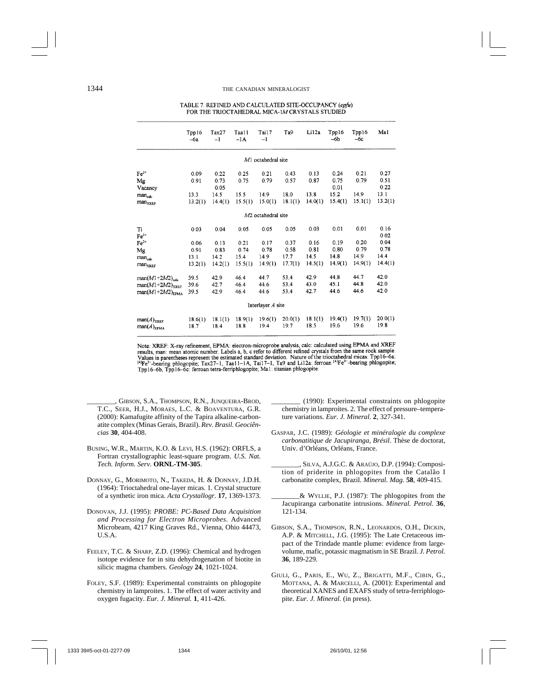#### TABLE 7. REFINED AND CALCULATED SITE-OCCUPANCY (epfu) FOR THE TRIOCTAHEDRAL MICA-IM CRYSTALS STUDIED

|                                    | Tpp16<br>$-6a$  | Tax27<br>$-1$   | Taa11<br>$-1A$  | Tai17<br>$-1$                  | Ta9             | Li12a           | Tpp16<br>-6b    | Tpp16<br>$-6c$  | Ma1             |
|------------------------------------|-----------------|-----------------|-----------------|--------------------------------|-----------------|-----------------|-----------------|-----------------|-----------------|
|                                    |                 |                 |                 | $M1$ octahedral site           |                 |                 |                 |                 |                 |
| $Fe2+$                             | 0.09            | 0.22            | 0.25            | 0.21                           | 0.43            | 0.13            | 0.24            | 0.21            | 0.27            |
| Mg                                 | 0.91            | 0.73            | 0.75            | 0.79                           | 0.57            | 0.87            | 0.75            | 0.79            | 0.51            |
| Vacancy                            |                 | 0.05            |                 |                                |                 |                 | 0.01            |                 | 0.22            |
| man <sub>calc</sub>                | 13.3            | 14.5            | 15.5            | 14.9                           | 18.0            | 13.8            | 15.2            | 14.9            | 13.1            |
| man <sub>XREF</sub>                | 13.2(1)         | 14.4(1)         | 15.5(1)         | 15.0(1)                        | 18.1(1)         | 14.0(1)         | 15.4(1)         | 15.1(1)         | 13.2(1)         |
|                                    |                 |                 |                 | M <sub>2</sub> octahedral site |                 |                 |                 |                 |                 |
| Ti<br>$Fe3+$                       | 0.03            | 0.04            | 0.05            | 0.05                           | 0.05            | 0.03            | 0.01            | 0.01            | 0.16<br>0.02    |
| $Fe2+$                             | 0.06            | 0.13            | 0.21            | 0.17                           | 0.37            | 0.16            | 0.19            | 0.20            | 0.04            |
| Mg                                 | 0.91            | 0.83            | 0.74            | 0.78                           | 0.58            | 0.81            | 0.80            | 0.79            | 0.78            |
| man <sub>calc</sub>                | 13.1            | 14.2            | 15.4            | 14.9                           | 17.7            | 14.5            | 14.8            | 14.9            | 14.4            |
| man <sub>XREF</sub>                | 13.2(1)         | 14.2(1)         | 15.5(1)         | 14.9(1)                        | 17.7(1)         | 14.5(1)         | 14.9(1)         | 14.9(1)         | 14.4(1)         |
| $man(M1+2M2)_{calc}$               | 39.5            | 42.9            | 46.4            | 44.7                           | 53.4            | 42.9            | 44.8            | 44.7            | 42.0            |
| $man(M1+2M2)_{XREF}$               | 39.6            | 42.7            | 46.4            | 44.6                           | 53.4            | 43.0            | 45.1            | 44.8            | 42.0            |
| $man(M1+2M2)_{\text{RPMA}}$        | 39.5            | 42.9            | 46.4            | 44.6                           | 53.4            | 42.7            | 44.6            | 44.6            | 42.0            |
|                                    |                 |                 |                 | Interlayer A site              |                 |                 |                 |                 |                 |
| $man(A)_{XREF}$<br>$man(A)_{EPMA}$ | 18.6(1)<br>18.7 | 18.1(1)<br>18.4 | 18.9(1)<br>18.8 | 19.6(1)<br>19.4                | 20.0(1)<br>19.7 | 18.1(1)<br>18.5 | 19.4(1)<br>19.6 | 19.7(1)<br>19.6 | 20.0(1)<br>19.8 |

Note: XREF: X-ray refinement, EPMA: electron-microprobe analysis, calc: calculated using EPMA and XREF results, man: mean atomic number. Labels a, b, c refer to different refined crystals from the same rock sample. Values in parentheses represent the estimated standard deviation. Nature of the trioctahedral micas: Tpp16–6a:<br><sup>[4]</sup>Fe<sup>3-</sup>-bearing phlogopite; Tax27-1, Taa11-1A, Tai17-1, Ta9 and Li12a: ferroan <sup>[4]</sup>Fe<sup>3-</sup>-bearing phlogop Tpp16-6b, Tpp16-6c: ferroan tetra-ferriphlogopite; Ma1: titanian phlogopite.

- GIBSON, S.A., THOMPSON, R.N., JUNQUEIRA-BROD, T.C., SEER, H.J., MORAES, L.C. & BOAVENTURA, G.R. (2000): Kamafugite affinity of the Tapira alkaline-carbonatite complex (Minas Gerais, Brazil). *Rev. Brasil. Geociências* **30**, 404-408.
- BUSING, W.R., MARTIN, K.O. & LEVI, H.S. (1962): ORFLS, a Fortran crystallographic least-square program. *U.S. Nat. Tech. Inform. Serv.* **ORNL-TM-305**.
- DONNAY, G., MORIMOTO, N., TAKEDA, H. & DONNAY, J.D.H. (1964): Trioctahedral one-layer micas. 1. Crystal structure of a synthetic iron mica. *Acta Crystallogr.* **17**, 1369-1373.
- DONOVAN, J.J. (1995): *PROBE: PC-Based Data Acquisition and Processing for Electron Microprobes*. Advanced Microbeam, 4217 King Graves Rd., Vienna, Ohio 44473, U.S.A.
- FEELEY, T.C. & SHARP, Z.D. (1996): Chemical and hydrogen isotope evidence for in situ dehydrogenation of biotite in silicic magma chambers. *Geology* **24**, 1021-1024.
- FOLEY, S.F. (1989): Experimental constraints on phlogopite chemistry in lamproites. 1. The effect of water activity and oxygen fugacity. *Eur. J. Mineral.* **1**, 411-426.

\_\_\_\_\_\_\_\_ (1990): Experimental constraints on phlogopite chemistry in lamproites. 2. The effect of pressure–temperature variations. *Eur. J. Mineral.* **2**, 327-341.

- GASPAR, J.C. (1989): *Géologie et minéralogie du complexe carbonatitique de Jacupiranga, Brésil*. Thèse de doctorat, Univ. d'Orléans, Orléans, France.
	- \_\_\_\_\_\_\_\_, SILVA, A.J.G.C. & ARAÚJO, D.P. (1994): Composition of priderite in phlogopites from the Catalão I carbonatite complex, Brazil. *Mineral. Mag.* **58**, 409-415.
- \_\_\_\_\_\_\_\_& WYLLIE, P.J. (1987): The phlogopites from the Jacupiranga carbonatite intrusions. *Mineral. Petrol.* **36**, 121-134.
- GIBSON, S.A., THOMPSON, R.N., LEONARDOS, O.H., DICKIN, A.P. & MITCHELL, J.G. (1995): The Late Cretaceous impact of the Trindade mantle plume: evidence from largevolume, mafic, potassic magmatism in SE Brazil. *J. Petrol.* **36**, 189-229.
- GIULI, G., PARIS, E., WU, Z., BRIGATTI, M.F., CIBIN, G., MOTTANA, A. & MARCELLI, A. (2001): Experimental and theoretical XANES and EXAFS study of tetra-ferriphlogopite. *Eur. J. Mineral.* (in press).